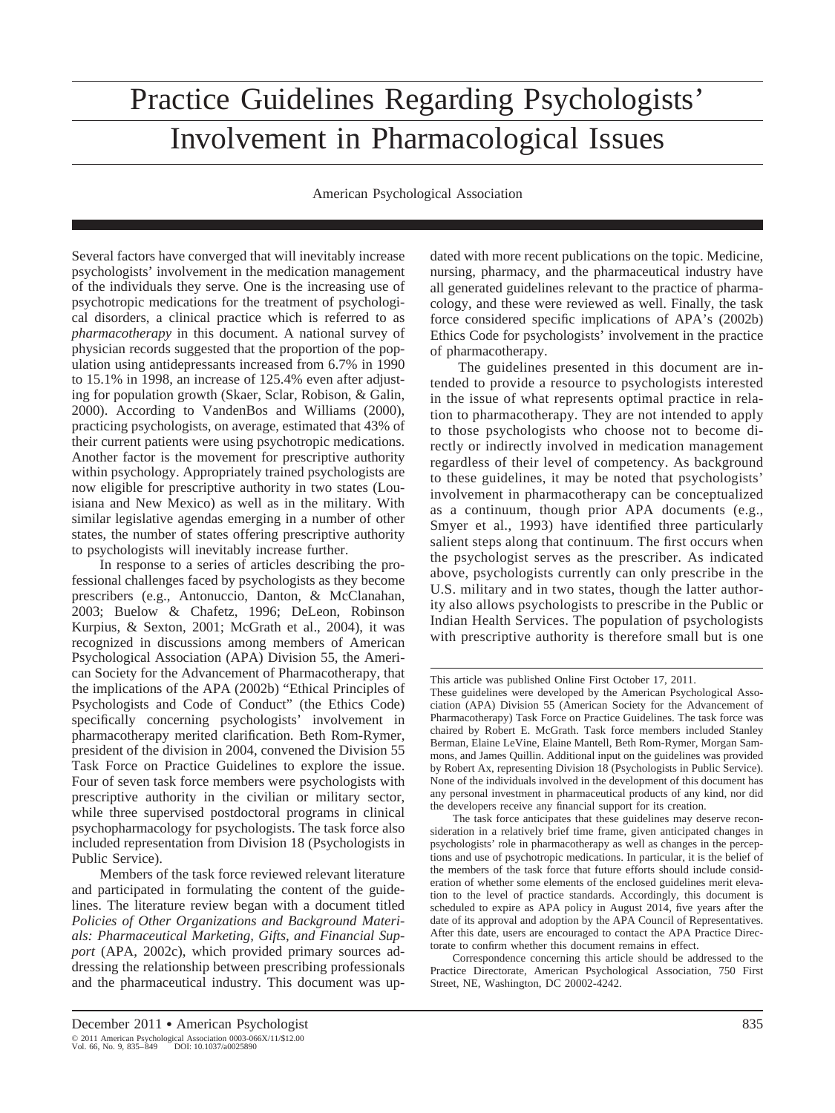# Practice Guidelines Regarding Psychologists' Involvement in Pharmacological Issues

American Psychological Association

Several factors have converged that will inevitably increase psychologists' involvement in the medication management of the individuals they serve. One is the increasing use of psychotropic medications for the treatment of psychological disorders, a clinical practice which is referred to as *pharmacotherapy* in this document. A national survey of physician records suggested that the proportion of the population using antidepressants increased from 6.7% in 1990 to 15.1% in 1998, an increase of 125.4% even after adjusting for population growth (Skaer, Sclar, Robison, & Galin, 2000). According to VandenBos and Williams (2000), practicing psychologists, on average, estimated that 43% of their current patients were using psychotropic medications. Another factor is the movement for prescriptive authority within psychology. Appropriately trained psychologists are now eligible for prescriptive authority in two states (Louisiana and New Mexico) as well as in the military. With similar legislative agendas emerging in a number of other states, the number of states offering prescriptive authority to psychologists will inevitably increase further.

In response to a series of articles describing the professional challenges faced by psychologists as they become prescribers (e.g., Antonuccio, Danton, & McClanahan, 2003; Buelow & Chafetz, 1996; DeLeon, Robinson Kurpius, & Sexton, 2001; McGrath et al., 2004), it was recognized in discussions among members of American Psychological Association (APA) Division 55, the American Society for the Advancement of Pharmacotherapy, that the implications of the APA (2002b) "Ethical Principles of Psychologists and Code of Conduct" (the Ethics Code) specifically concerning psychologists' involvement in pharmacotherapy merited clarification. Beth Rom-Rymer, president of the division in 2004, convened the Division 55 Task Force on Practice Guidelines to explore the issue. Four of seven task force members were psychologists with prescriptive authority in the civilian or military sector, while three supervised postdoctoral programs in clinical psychopharmacology for psychologists. The task force also included representation from Division 18 (Psychologists in Public Service).

Members of the task force reviewed relevant literature and participated in formulating the content of the guidelines. The literature review began with a document titled *Policies of Other Organizations and Background Materials: Pharmaceutical Marketing, Gifts, and Financial Support* (APA, 2002c), which provided primary sources addressing the relationship between prescribing professionals and the pharmaceutical industry. This document was updated with more recent publications on the topic. Medicine, nursing, pharmacy, and the pharmaceutical industry have all generated guidelines relevant to the practice of pharmacology, and these were reviewed as well. Finally, the task force considered specific implications of APA's (2002b) Ethics Code for psychologists' involvement in the practice of pharmacotherapy.

The guidelines presented in this document are intended to provide a resource to psychologists interested in the issue of what represents optimal practice in relation to pharmacotherapy. They are not intended to apply to those psychologists who choose not to become directly or indirectly involved in medication management regardless of their level of competency. As background to these guidelines, it may be noted that psychologists' involvement in pharmacotherapy can be conceptualized as a continuum, though prior APA documents (e.g., Smyer et al., 1993) have identified three particularly salient steps along that continuum. The first occurs when the psychologist serves as the prescriber. As indicated above, psychologists currently can only prescribe in the U.S. military and in two states, though the latter authority also allows psychologists to prescribe in the Public or Indian Health Services. The population of psychologists with prescriptive authority is therefore small but is one

Correspondence concerning this article should be addressed to the Practice Directorate, American Psychological Association, 750 First Street, NE, Washington, DC 20002-4242.

This article was published Online First October 17, 2011.

These guidelines were developed by the American Psychological Association (APA) Division 55 (American Society for the Advancement of Pharmacotherapy) Task Force on Practice Guidelines. The task force was chaired by Robert E. McGrath. Task force members included Stanley Berman, Elaine LeVine, Elaine Mantell, Beth Rom-Rymer, Morgan Sammons, and James Quillin. Additional input on the guidelines was provided by Robert Ax, representing Division 18 (Psychologists in Public Service). None of the individuals involved in the development of this document has any personal investment in pharmaceutical products of any kind, nor did the developers receive any financial support for its creation.

The task force anticipates that these guidelines may deserve reconsideration in a relatively brief time frame, given anticipated changes in psychologists' role in pharmacotherapy as well as changes in the perceptions and use of psychotropic medications. In particular, it is the belief of the members of the task force that future efforts should include consideration of whether some elements of the enclosed guidelines merit elevation to the level of practice standards. Accordingly, this document is scheduled to expire as APA policy in August 2014, five years after the date of its approval and adoption by the APA Council of Representatives. After this date, users are encouraged to contact the APA Practice Directorate to confirm whether this document remains in effect.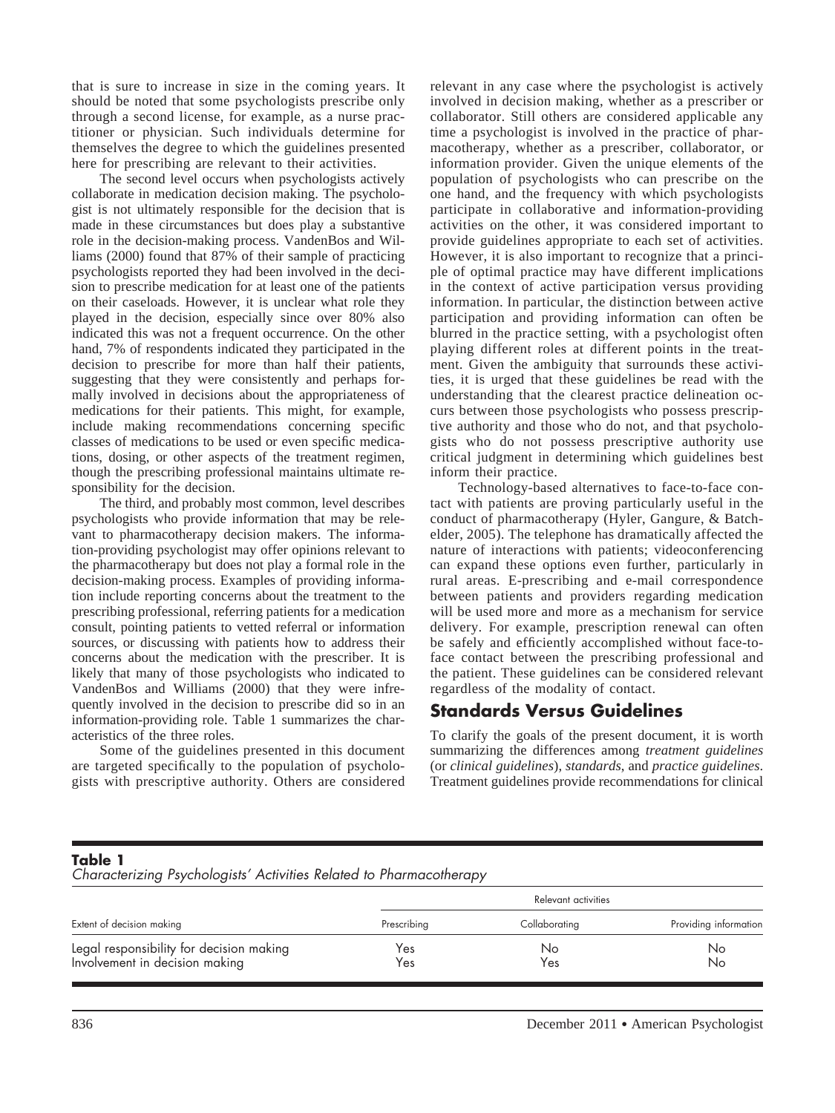that is sure to increase in size in the coming years. It should be noted that some psychologists prescribe only through a second license, for example, as a nurse practitioner or physician. Such individuals determine for themselves the degree to which the guidelines presented here for prescribing are relevant to their activities.

The second level occurs when psychologists actively collaborate in medication decision making. The psychologist is not ultimately responsible for the decision that is made in these circumstances but does play a substantive role in the decision-making process. VandenBos and Williams (2000) found that 87% of their sample of practicing psychologists reported they had been involved in the decision to prescribe medication for at least one of the patients on their caseloads. However, it is unclear what role they played in the decision, especially since over 80% also indicated this was not a frequent occurrence. On the other hand, 7% of respondents indicated they participated in the decision to prescribe for more than half their patients, suggesting that they were consistently and perhaps formally involved in decisions about the appropriateness of medications for their patients. This might, for example, include making recommendations concerning specific classes of medications to be used or even specific medications, dosing, or other aspects of the treatment regimen, though the prescribing professional maintains ultimate responsibility for the decision.

The third, and probably most common, level describes psychologists who provide information that may be relevant to pharmacotherapy decision makers. The information-providing psychologist may offer opinions relevant to the pharmacotherapy but does not play a formal role in the decision-making process. Examples of providing information include reporting concerns about the treatment to the prescribing professional, referring patients for a medication consult, pointing patients to vetted referral or information sources, or discussing with patients how to address their concerns about the medication with the prescriber. It is likely that many of those psychologists who indicated to VandenBos and Williams (2000) that they were infrequently involved in the decision to prescribe did so in an information-providing role. Table 1 summarizes the characteristics of the three roles.

Some of the guidelines presented in this document are targeted specifically to the population of psychologists with prescriptive authority. Others are considered

relevant in any case where the psychologist is actively involved in decision making, whether as a prescriber or collaborator. Still others are considered applicable any time a psychologist is involved in the practice of pharmacotherapy, whether as a prescriber, collaborator, or information provider. Given the unique elements of the population of psychologists who can prescribe on the one hand, and the frequency with which psychologists participate in collaborative and information-providing activities on the other, it was considered important to provide guidelines appropriate to each set of activities. However, it is also important to recognize that a principle of optimal practice may have different implications in the context of active participation versus providing information. In particular, the distinction between active participation and providing information can often be blurred in the practice setting, with a psychologist often playing different roles at different points in the treatment. Given the ambiguity that surrounds these activities, it is urged that these guidelines be read with the understanding that the clearest practice delineation occurs between those psychologists who possess prescriptive authority and those who do not, and that psychologists who do not possess prescriptive authority use critical judgment in determining which guidelines best inform their practice.

Technology-based alternatives to face-to-face contact with patients are proving particularly useful in the conduct of pharmacotherapy (Hyler, Gangure, & Batchelder, 2005). The telephone has dramatically affected the nature of interactions with patients; videoconferencing can expand these options even further, particularly in rural areas. E-prescribing and e-mail correspondence between patients and providers regarding medication will be used more and more as a mechanism for service delivery. For example, prescription renewal can often be safely and efficiently accomplished without face-toface contact between the prescribing professional and the patient. These guidelines can be considered relevant regardless of the modality of contact.

## **Standards Versus Guidelines**

To clarify the goals of the present document, it is worth summarizing the differences among *treatment guidelines* (or *clinical guidelines*), *standards*, and *practice guidelines*. Treatment guidelines provide recommendations for clinical

## **Table 1**

*Characterizing Psychologists' Activities Related to Pharmacotherapy*

| Extent of decision making                                                  | Relevant activities |               |                       |  |
|----------------------------------------------------------------------------|---------------------|---------------|-----------------------|--|
|                                                                            | Prescribing         | Collaborating | Providing information |  |
| Legal responsibility for decision making<br>Involvement in decision making | Yes<br>Yes          | No<br>Yes     | No<br>No              |  |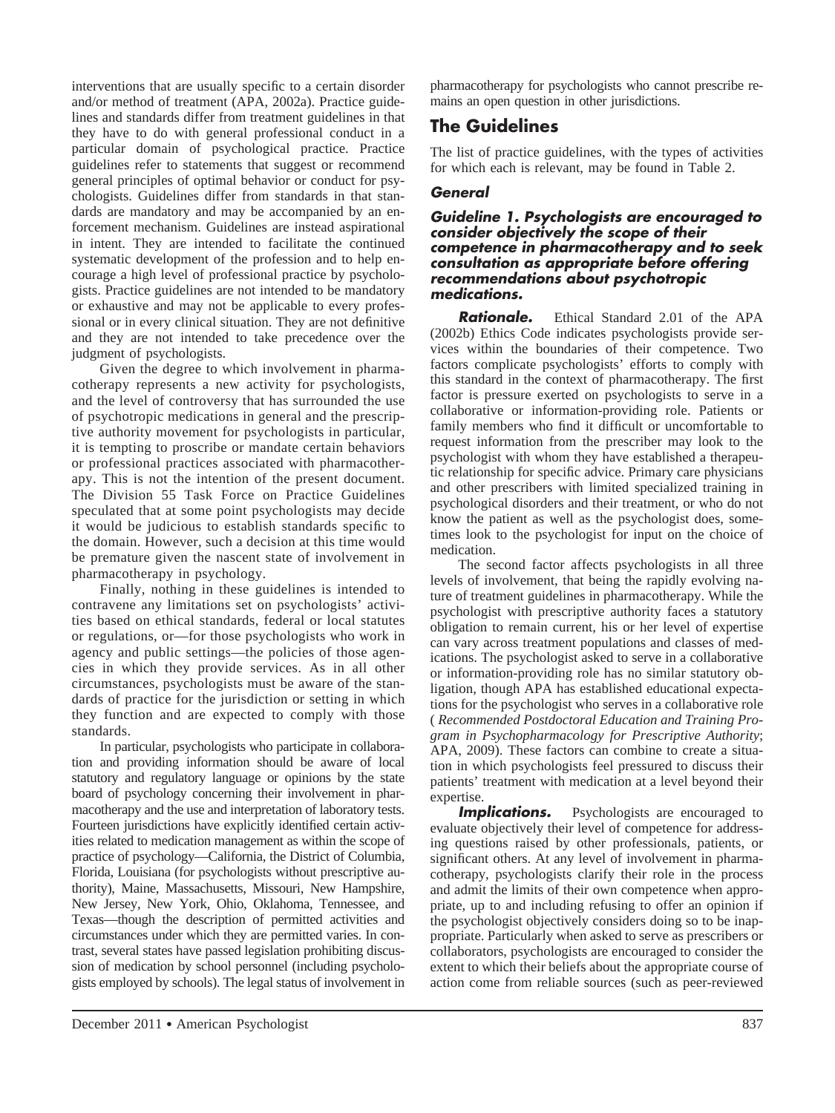interventions that are usually specific to a certain disorder and/or method of treatment (APA, 2002a). Practice guidelines and standards differ from treatment guidelines in that they have to do with general professional conduct in a particular domain of psychological practice. Practice guidelines refer to statements that suggest or recommend general principles of optimal behavior or conduct for psychologists. Guidelines differ from standards in that standards are mandatory and may be accompanied by an enforcement mechanism. Guidelines are instead aspirational in intent. They are intended to facilitate the continued systematic development of the profession and to help encourage a high level of professional practice by psychologists. Practice guidelines are not intended to be mandatory or exhaustive and may not be applicable to every professional or in every clinical situation. They are not definitive and they are not intended to take precedence over the judgment of psychologists.

Given the degree to which involvement in pharmacotherapy represents a new activity for psychologists, and the level of controversy that has surrounded the use of psychotropic medications in general and the prescriptive authority movement for psychologists in particular, it is tempting to proscribe or mandate certain behaviors or professional practices associated with pharmacotherapy. This is not the intention of the present document. The Division 55 Task Force on Practice Guidelines speculated that at some point psychologists may decide it would be judicious to establish standards specific to the domain. However, such a decision at this time would be premature given the nascent state of involvement in pharmacotherapy in psychology.

Finally, nothing in these guidelines is intended to contravene any limitations set on psychologists' activities based on ethical standards, federal or local statutes or regulations, or—for those psychologists who work in agency and public settings—the policies of those agencies in which they provide services. As in all other circumstances, psychologists must be aware of the standards of practice for the jurisdiction or setting in which they function and are expected to comply with those standards.

In particular, psychologists who participate in collaboration and providing information should be aware of local statutory and regulatory language or opinions by the state board of psychology concerning their involvement in pharmacotherapy and the use and interpretation of laboratory tests. Fourteen jurisdictions have explicitly identified certain activities related to medication management as within the scope of practice of psychology—California, the District of Columbia, Florida, Louisiana (for psychologists without prescriptive authority), Maine, Massachusetts, Missouri, New Hampshire, New Jersey, New York, Ohio, Oklahoma, Tennessee, and Texas—though the description of permitted activities and circumstances under which they are permitted varies. In contrast, several states have passed legislation prohibiting discussion of medication by school personnel (including psychologists employed by schools). The legal status of involvement in pharmacotherapy for psychologists who cannot prescribe remains an open question in other jurisdictions.

# **The Guidelines**

The list of practice guidelines, with the types of activities for which each is relevant, may be found in Table 2.

## *General*

## *Guideline 1. Psychologists are encouraged to consider objectively the scope of their competence in pharmacotherapy and to seek consultation as appropriate before offering recommendations about psychotropic medications.*

*Rationale.* Ethical Standard 2.01 of the APA (2002b) Ethics Code indicates psychologists provide services within the boundaries of their competence. Two factors complicate psychologists' efforts to comply with this standard in the context of pharmacotherapy. The first factor is pressure exerted on psychologists to serve in a collaborative or information-providing role. Patients or family members who find it difficult or uncomfortable to request information from the prescriber may look to the psychologist with whom they have established a therapeutic relationship for specific advice. Primary care physicians and other prescribers with limited specialized training in psychological disorders and their treatment, or who do not know the patient as well as the psychologist does, sometimes look to the psychologist for input on the choice of medication.

The second factor affects psychologists in all three levels of involvement, that being the rapidly evolving nature of treatment guidelines in pharmacotherapy. While the psychologist with prescriptive authority faces a statutory obligation to remain current, his or her level of expertise can vary across treatment populations and classes of medications. The psychologist asked to serve in a collaborative or information-providing role has no similar statutory obligation, though APA has established educational expectations for the psychologist who serves in a collaborative role ( *Recommended Postdoctoral Education and Training Program in Psychopharmacology for Prescriptive Authority*; APA, 2009). These factors can combine to create a situation in which psychologists feel pressured to discuss their patients' treatment with medication at a level beyond their expertise.

**Implications.** Psychologists are encouraged to evaluate objectively their level of competence for addressing questions raised by other professionals, patients, or significant others. At any level of involvement in pharmacotherapy, psychologists clarify their role in the process and admit the limits of their own competence when appropriate, up to and including refusing to offer an opinion if the psychologist objectively considers doing so to be inappropriate. Particularly when asked to serve as prescribers or collaborators, psychologists are encouraged to consider the extent to which their beliefs about the appropriate course of action come from reliable sources (such as peer-reviewed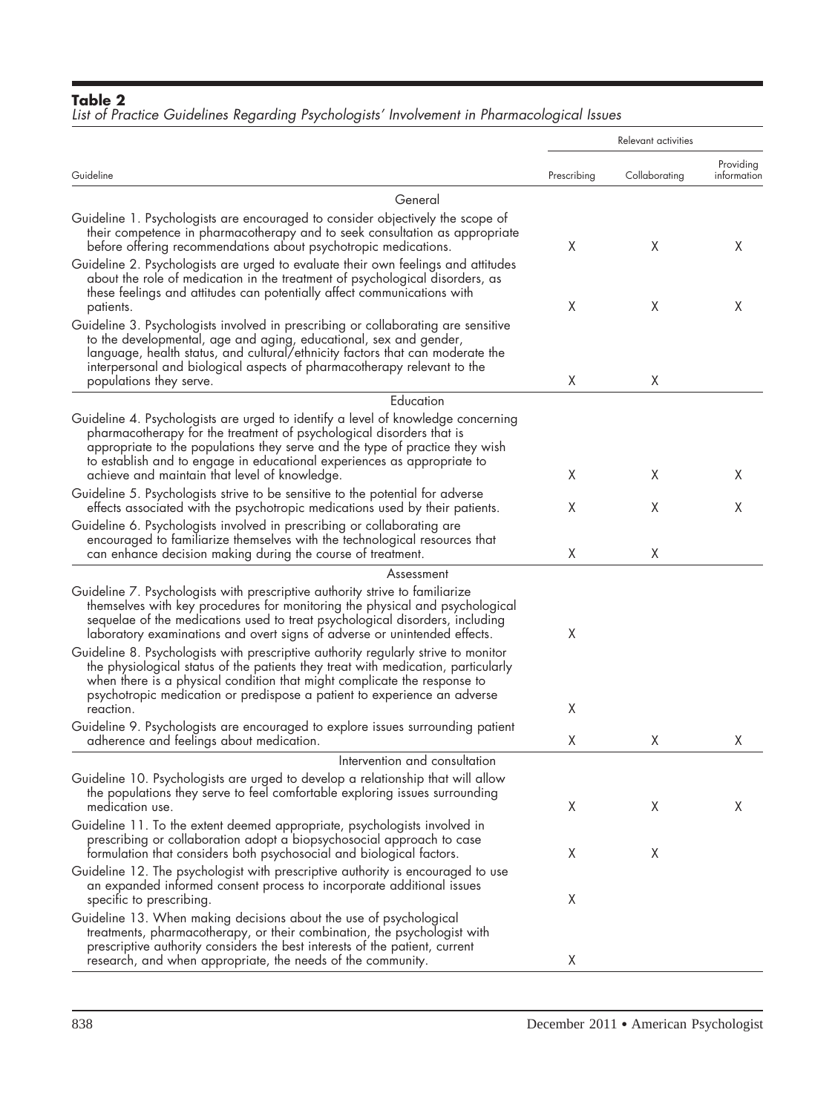## **Table 2**

## *List of Practice Guidelines Regarding Psychologists' Involvement in Pharmacological Issues*

|                                                                                                                                                                                                                                                                                                                                                                      | Relevant activities |               |                          |
|----------------------------------------------------------------------------------------------------------------------------------------------------------------------------------------------------------------------------------------------------------------------------------------------------------------------------------------------------------------------|---------------------|---------------|--------------------------|
| Guideline                                                                                                                                                                                                                                                                                                                                                            | Prescribing         | Collaborating | Providing<br>information |
| General                                                                                                                                                                                                                                                                                                                                                              |                     |               |                          |
| Guideline 1. Psychologists are encouraged to consider objectively the scope of<br>their competence in pharmacotherapy and to seek consultation as appropriate<br>before offering recommendations about psychotropic medications.                                                                                                                                     | X                   | X             | X                        |
| Guideline 2. Psychologists are urged to evaluate their own feelings and attitudes<br>about the role of medication in the treatment of psychological disorders, as<br>these feelings and attitudes can potentially affect communications with<br>patients.                                                                                                            | X                   | X             | X                        |
| Guideline 3. Psychologists involved in prescribing or collaborating are sensitive<br>to the developmental, age and aging, educational, sex and gender,<br>language, health status, and cultural/ethnicity factors that can moderate the<br>interpersonal and biological aspects of pharmacotherapy relevant to the                                                   | X                   | Χ             |                          |
| populations they serve.<br>Education                                                                                                                                                                                                                                                                                                                                 |                     |               |                          |
| Guideline 4. Psychologists are urged to identify a level of knowledge concerning<br>pharmacotherapy for the treatment of psychological disorders that is<br>appropriate to the populations they serve and the type of practice they wish<br>to establish and to engage in educational experiences as appropriate to<br>achieve and maintain that level of knowledge. | X                   | X             | X                        |
| Guideline 5. Psychologists strive to be sensitive to the potential for adverse<br>effects associated with the psychotropic medications used by their patients.                                                                                                                                                                                                       | X                   | X             | X                        |
| Guideline 6. Psychologists involved in prescribing or collaborating are<br>encouraged to familiarize themselves with the technological resources that<br>can enhance decision making during the course of treatment.                                                                                                                                                 | X                   | X             |                          |
| Assessment                                                                                                                                                                                                                                                                                                                                                           |                     |               |                          |
| Guideline 7. Psychologists with prescriptive authority strive to familiarize<br>themselves with key procedures for monitoring the physical and psychological<br>sequelae of the medications used to treat psychological disorders, including<br>laboratory examinations and overt signs of adverse or unintended effects.                                            | X                   |               |                          |
| Guideline 8. Psychologists with prescriptive authority regularly strive to monitor<br>the physiological status of the patients they treat with medication, particularly<br>when there is a physical condition that might complicate the response to<br>psychotropic medication or predispose a patient to experience an adverse<br>reaction.                         | Χ                   |               |                          |
| Guideline 9. Psychologists are encouraged to explore issues surrounding patient<br>adherence and feelings about medication.                                                                                                                                                                                                                                          | χ                   | X             | χ                        |
| Intervention and consultation                                                                                                                                                                                                                                                                                                                                        |                     |               |                          |
| Guideline 10. Psychologists are urged to develop a relationship that will allow<br>the populations they serve to feel comfortable exploring issues surrounding<br>medication use.                                                                                                                                                                                    | Χ                   | X             | X                        |
| Guideline 11. To the extent deemed appropriate, psychologists involved in<br>prescribing or collaboration adopt a biopsychosocial approach to case<br>formulation that considers both psychosocial and biological factors.                                                                                                                                           | Χ                   | X             |                          |
| Guideline 12. The psychologist with prescriptive authority is encouraged to use<br>an expanded informed consent process to incorporate additional issues<br>specific to prescribing.                                                                                                                                                                                 | Χ                   |               |                          |
| Guideline 13. When making decisions about the use of psychological<br>treatments, pharmacotherapy, or their combination, the psychologist with<br>prescriptive authority considers the best interests of the patient, current                                                                                                                                        |                     |               |                          |
| research, and when appropriate, the needs of the community.                                                                                                                                                                                                                                                                                                          | Χ                   |               |                          |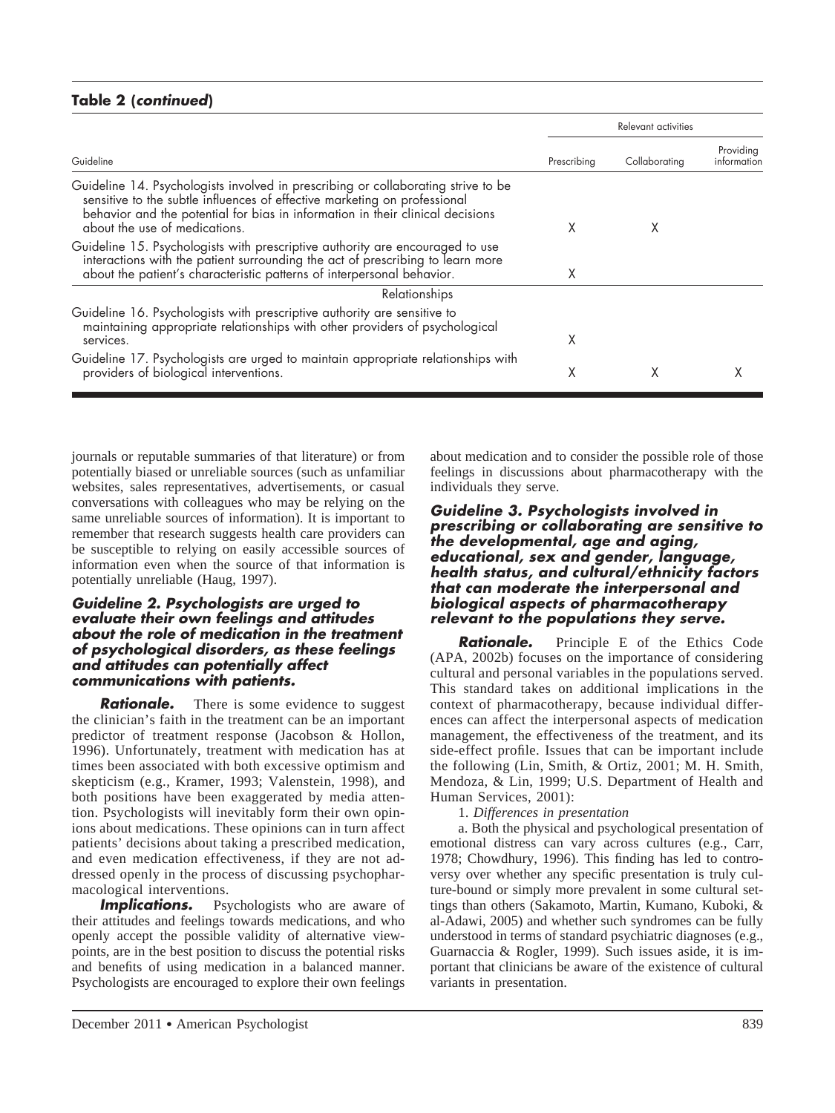## **Table 2 (***continued***)**

|                                                                                                                                                                                                                                                                                   | Relevant activities |               |                          |
|-----------------------------------------------------------------------------------------------------------------------------------------------------------------------------------------------------------------------------------------------------------------------------------|---------------------|---------------|--------------------------|
| Guideline                                                                                                                                                                                                                                                                         | Prescribing         | Collaborating | Providing<br>information |
| Guideline 14. Psychologists involved in prescribing or collaborating strive to be<br>sensitive to the subtle influences of effective marketing on professional<br>behavior and the potential for bias in information in their clinical decisions<br>about the use of medications. | χ                   | X             |                          |
| Guideline 15. Psychologists with prescriptive authority are encouraged to use<br>interactions with the patient surrounding the act of prescribing to learn more<br>about the patient's characteristic patterns of interpersonal behavior.                                         | χ                   |               |                          |
| Relationships                                                                                                                                                                                                                                                                     |                     |               |                          |
| Guideline 16. Psychologists with prescriptive authority are sensitive to<br>maintaining appropriate relationships with other providers of psychological<br>services.                                                                                                              | χ                   |               |                          |
| Guideline 17. Psychologists are urged to maintain appropriate relationships with<br>providers of biological interventions.                                                                                                                                                        | χ                   | X             |                          |

journals or reputable summaries of that literature) or from potentially biased or unreliable sources (such as unfamiliar websites, sales representatives, advertisements, or casual conversations with colleagues who may be relying on the same unreliable sources of information). It is important to remember that research suggests health care providers can be susceptible to relying on easily accessible sources of information even when the source of that information is potentially unreliable (Haug, 1997).

## *Guideline 2. Psychologists are urged to evaluate their own feelings and attitudes about the role of medication in the treatment of psychological disorders, as these feelings and attitudes can potentially affect communications with patients.*

**Rationale.** There is some evidence to suggest the clinician's faith in the treatment can be an important predictor of treatment response (Jacobson & Hollon, 1996). Unfortunately, treatment with medication has at times been associated with both excessive optimism and skepticism (e.g., Kramer, 1993; Valenstein, 1998), and both positions have been exaggerated by media attention. Psychologists will inevitably form their own opinions about medications. These opinions can in turn affect patients' decisions about taking a prescribed medication, and even medication effectiveness, if they are not addressed openly in the process of discussing psychopharmacological interventions.

**Implications.** Psychologists who are aware of their attitudes and feelings towards medications, and who openly accept the possible validity of alternative viewpoints, are in the best position to discuss the potential risks and benefits of using medication in a balanced manner. Psychologists are encouraged to explore their own feelings

about medication and to consider the possible role of those feelings in discussions about pharmacotherapy with the individuals they serve.

## *Guideline 3. Psychologists involved in prescribing or collaborating are sensitive to the developmental, age and aging, educational, sex and gender, language, health status, and cultural/ethnicity factors that can moderate the interpersonal and biological aspects of pharmacotherapy relevant to the populations they serve.*

*Rationale.* Principle E of the Ethics Code (APA, 2002b) focuses on the importance of considering cultural and personal variables in the populations served. This standard takes on additional implications in the context of pharmacotherapy, because individual differences can affect the interpersonal aspects of medication management, the effectiveness of the treatment, and its side-effect profile. Issues that can be important include the following (Lin, Smith, & Ortiz, 2001; M. H. Smith, Mendoza, & Lin, 1999; U.S. Department of Health and Human Services, 2001):

1. *Differences in presentation*

a. Both the physical and psychological presentation of emotional distress can vary across cultures (e.g., Carr, 1978; Chowdhury, 1996). This finding has led to controversy over whether any specific presentation is truly culture-bound or simply more prevalent in some cultural settings than others (Sakamoto, Martin, Kumano, Kuboki, & al-Adawi, 2005) and whether such syndromes can be fully understood in terms of standard psychiatric diagnoses (e.g., Guarnaccia & Rogler, 1999). Such issues aside, it is important that clinicians be aware of the existence of cultural variants in presentation.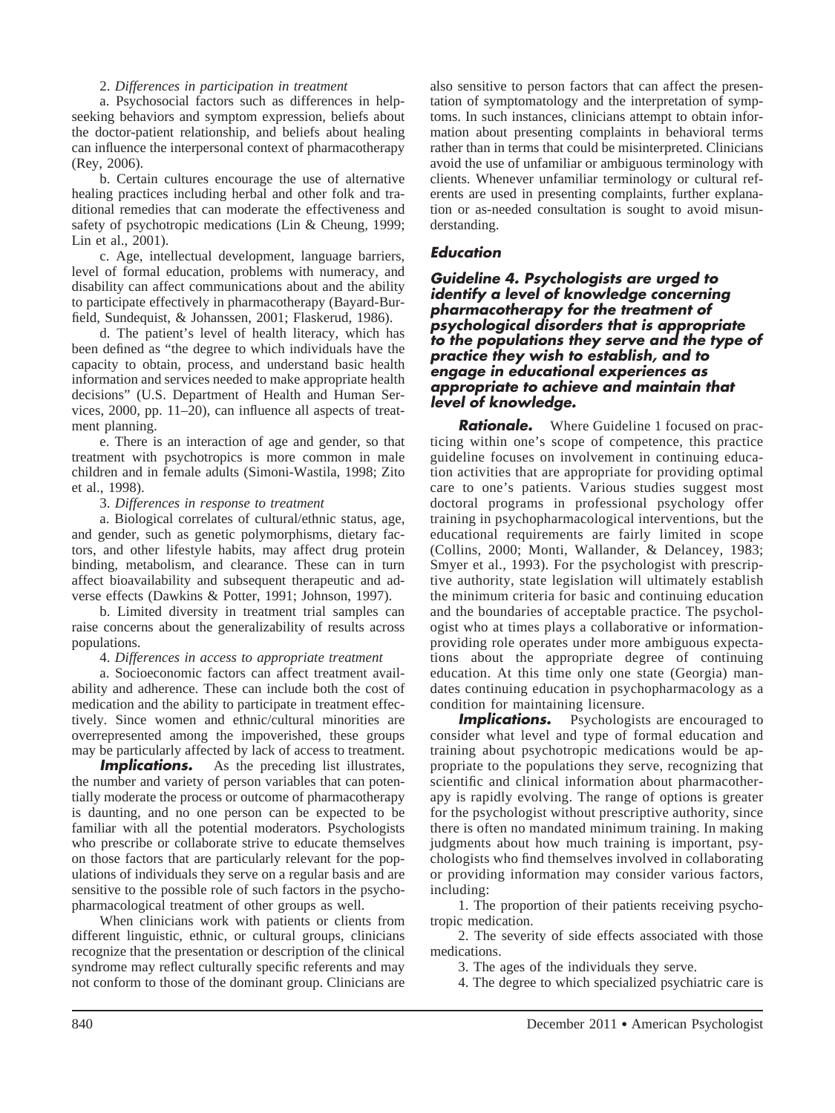## 2. *Differences in participation in treatment*

a. Psychosocial factors such as differences in helpseeking behaviors and symptom expression, beliefs about the doctor-patient relationship, and beliefs about healing can influence the interpersonal context of pharmacotherapy (Rey, 2006).

b. Certain cultures encourage the use of alternative healing practices including herbal and other folk and traditional remedies that can moderate the effectiveness and safety of psychotropic medications (Lin & Cheung, 1999; Lin et al., 2001).

c. Age, intellectual development, language barriers, level of formal education, problems with numeracy, and disability can affect communications about and the ability to participate effectively in pharmacotherapy (Bayard-Burfield, Sundequist, & Johanssen, 2001; Flaskerud, 1986).

d. The patient's level of health literacy, which has been defined as "the degree to which individuals have the capacity to obtain, process, and understand basic health information and services needed to make appropriate health decisions" (U.S. Department of Health and Human Services, 2000, pp. 11–20), can influence all aspects of treatment planning.

e. There is an interaction of age and gender, so that treatment with psychotropics is more common in male children and in female adults (Simoni-Wastila, 1998; Zito et al., 1998).

3. *Differences in response to treatment*

a. Biological correlates of cultural/ethnic status, age, and gender, such as genetic polymorphisms, dietary factors, and other lifestyle habits, may affect drug protein binding, metabolism, and clearance. These can in turn affect bioavailability and subsequent therapeutic and adverse effects (Dawkins & Potter, 1991; Johnson, 1997).

b. Limited diversity in treatment trial samples can raise concerns about the generalizability of results across populations.

4. *Differences in access to appropriate treatment*

a. Socioeconomic factors can affect treatment availability and adherence. These can include both the cost of medication and the ability to participate in treatment effectively. Since women and ethnic/cultural minorities are overrepresented among the impoverished, these groups may be particularly affected by lack of access to treatment.

**Implications.** As the preceding list illustrates, the number and variety of person variables that can potentially moderate the process or outcome of pharmacotherapy is daunting, and no one person can be expected to be familiar with all the potential moderators. Psychologists who prescribe or collaborate strive to educate themselves on those factors that are particularly relevant for the populations of individuals they serve on a regular basis and are sensitive to the possible role of such factors in the psychopharmacological treatment of other groups as well.

When clinicians work with patients or clients from different linguistic, ethnic, or cultural groups, clinicians recognize that the presentation or description of the clinical syndrome may reflect culturally specific referents and may not conform to those of the dominant group. Clinicians are

also sensitive to person factors that can affect the presentation of symptomatology and the interpretation of symptoms. In such instances, clinicians attempt to obtain information about presenting complaints in behavioral terms rather than in terms that could be misinterpreted. Clinicians avoid the use of unfamiliar or ambiguous terminology with clients. Whenever unfamiliar terminology or cultural referents are used in presenting complaints, further explanation or as-needed consultation is sought to avoid misunderstanding.

## *Education*

*Guideline 4. Psychologists are urged to identify a level of knowledge concerning pharmacotherapy for the treatment of psychological disorders that is appropriate to the populations they serve and the type of practice they wish to establish, and to engage in educational experiences as appropriate to achieve and maintain that level of knowledge.*

**Rationale.** Where Guideline 1 focused on practicing within one's scope of competence, this practice guideline focuses on involvement in continuing education activities that are appropriate for providing optimal care to one's patients. Various studies suggest most doctoral programs in professional psychology offer training in psychopharmacological interventions, but the educational requirements are fairly limited in scope (Collins, 2000; Monti, Wallander, & Delancey, 1983; Smyer et al., 1993). For the psychologist with prescriptive authority, state legislation will ultimately establish the minimum criteria for basic and continuing education and the boundaries of acceptable practice. The psychologist who at times plays a collaborative or informationproviding role operates under more ambiguous expectations about the appropriate degree of continuing education. At this time only one state (Georgia) mandates continuing education in psychopharmacology as a condition for maintaining licensure.

**Implications.** Psychologists are encouraged to consider what level and type of formal education and training about psychotropic medications would be appropriate to the populations they serve, recognizing that scientific and clinical information about pharmacotherapy is rapidly evolving. The range of options is greater for the psychologist without prescriptive authority, since there is often no mandated minimum training. In making judgments about how much training is important, psychologists who find themselves involved in collaborating or providing information may consider various factors, including:

1. The proportion of their patients receiving psychotropic medication.

2. The severity of side effects associated with those medications.

3. The ages of the individuals they serve.

4. The degree to which specialized psychiatric care is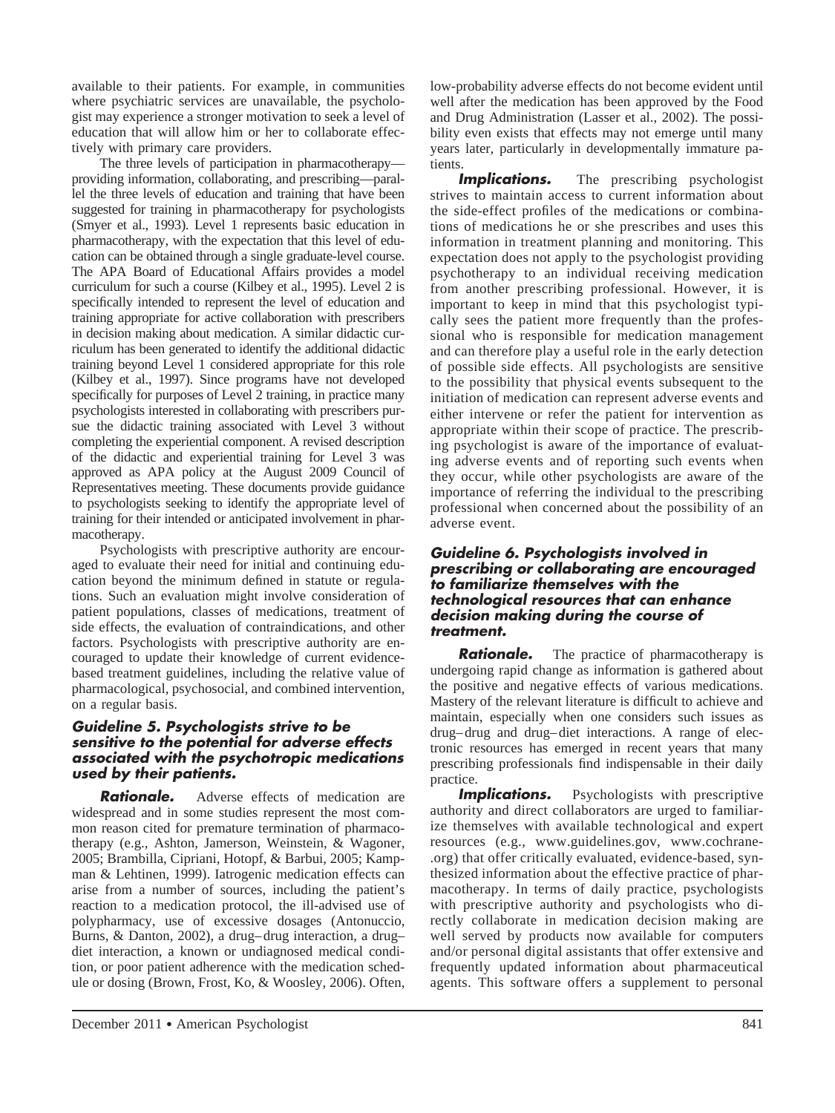available to their patients. For example, in communities where psychiatric services are unavailable, the psychologist may experience a stronger motivation to seek a level of education that will allow him or her to collaborate effectively with primary care providers.

The three levels of participation in pharmacotherapy providing information, collaborating, and prescribing—parallel the three levels of education and training that have been suggested for training in pharmacotherapy for psychologists (Smyer et al., 1993). Level 1 represents basic education in pharmacotherapy, with the expectation that this level of education can be obtained through a single graduate-level course. The APA Board of Educational Affairs provides a model curriculum for such a course (Kilbey et al., 1995). Level 2 is specifically intended to represent the level of education and training appropriate for active collaboration with prescribers in decision making about medication. A similar didactic curriculum has been generated to identify the additional didactic training beyond Level 1 considered appropriate for this role (Kilbey et al., 1997). Since programs have not developed specifically for purposes of Level 2 training, in practice many psychologists interested in collaborating with prescribers pursue the didactic training associated with Level 3 without completing the experiential component. A revised description of the didactic and experiential training for Level 3 was approved as APA policy at the August 2009 Council of Representatives meeting. These documents provide guidance to psychologists seeking to identify the appropriate level of training for their intended or anticipated involvement in pharmacotherapy.

Psychologists with prescriptive authority are encouraged to evaluate their need for initial and continuing education beyond the minimum defined in statute or regulations. Such an evaluation might involve consideration of patient populations, classes of medications, treatment of side effects, the evaluation of contraindications, and other factors. Psychologists with prescriptive authority are encouraged to update their knowledge of current evidencebased treatment guidelines, including the relative value of pharmacological, psychosocial, and combined intervention, on a regular basis.

## *Guideline 5. Psychologists strive to be sensitive to the potential for adverse effects associated with the psychotropic medications used by their patients.*

**Rationale.** Adverse effects of medication are widespread and in some studies represent the most common reason cited for premature termination of pharmacotherapy (e.g., Ashton, Jamerson, Weinstein, & Wagoner, 2005; Brambilla, Cipriani, Hotopf, & Barbui, 2005; Kampman & Lehtinen, 1999). Iatrogenic medication effects can arise from a number of sources, including the patient's reaction to a medication protocol, the ill-advised use of polypharmacy, use of excessive dosages (Antonuccio, Burns, & Danton, 2002), a drug–drug interaction, a drug– diet interaction, a known or undiagnosed medical condition, or poor patient adherence with the medication schedule or dosing (Brown, Frost, Ko, & Woosley, 2006). Often, low-probability adverse effects do not become evident until well after the medication has been approved by the Food and Drug Administration (Lasser et al., 2002). The possibility even exists that effects may not emerge until many years later, particularly in developmentally immature patients.

**Implications.** The prescribing psychologist strives to maintain access to current information about the side-effect profiles of the medications or combinations of medications he or she prescribes and uses this information in treatment planning and monitoring. This expectation does not apply to the psychologist providing psychotherapy to an individual receiving medication from another prescribing professional. However, it is important to keep in mind that this psychologist typically sees the patient more frequently than the professional who is responsible for medication management and can therefore play a useful role in the early detection of possible side effects. All psychologists are sensitive to the possibility that physical events subsequent to the initiation of medication can represent adverse events and either intervene or refer the patient for intervention as appropriate within their scope of practice. The prescribing psychologist is aware of the importance of evaluating adverse events and of reporting such events when they occur, while other psychologists are aware of the importance of referring the individual to the prescribing professional when concerned about the possibility of an adverse event.

## *Guideline 6. Psychologists involved in prescribing or collaborating are encouraged to familiarize themselves with the technological resources that can enhance decision making during the course of treatment.*

*Rationale.* The practice of pharmacotherapy is undergoing rapid change as information is gathered about the positive and negative effects of various medications. Mastery of the relevant literature is difficult to achieve and maintain, especially when one considers such issues as drug–drug and drug–diet interactions. A range of electronic resources has emerged in recent years that many prescribing professionals find indispensable in their daily practice.

**Implications.** Psychologists with prescriptive authority and direct collaborators are urged to familiarize themselves with available technological and expert resources (e.g., www.guidelines.gov, www.cochrane- .org) that offer critically evaluated, evidence-based, synthesized information about the effective practice of pharmacotherapy. In terms of daily practice, psychologists with prescriptive authority and psychologists who directly collaborate in medication decision making are well served by products now available for computers and/or personal digital assistants that offer extensive and frequently updated information about pharmaceutical agents. This software offers a supplement to personal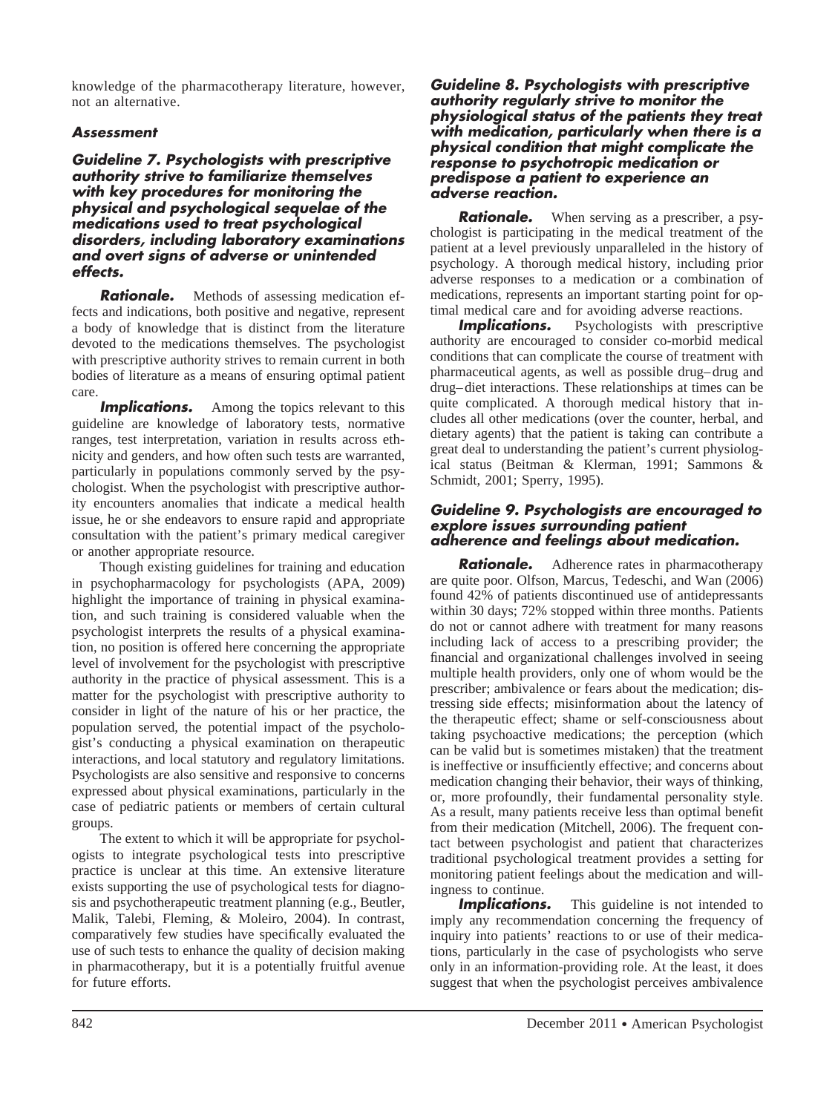knowledge of the pharmacotherapy literature, however, not an alternative.

## *Assessment*

*Guideline 7. Psychologists with prescriptive authority strive to familiarize themselves with key procedures for monitoring the physical and psychological sequelae of the medications used to treat psychological disorders, including laboratory examinations and overt signs of adverse or unintended effects.*

*Rationale.* Methods of assessing medication effects and indications, both positive and negative, represent a body of knowledge that is distinct from the literature devoted to the medications themselves. The psychologist with prescriptive authority strives to remain current in both bodies of literature as a means of ensuring optimal patient care.

**Implications.** Among the topics relevant to this guideline are knowledge of laboratory tests, normative ranges, test interpretation, variation in results across ethnicity and genders, and how often such tests are warranted, particularly in populations commonly served by the psychologist. When the psychologist with prescriptive authority encounters anomalies that indicate a medical health issue, he or she endeavors to ensure rapid and appropriate consultation with the patient's primary medical caregiver or another appropriate resource.

Though existing guidelines for training and education in psychopharmacology for psychologists (APA, 2009) highlight the importance of training in physical examination, and such training is considered valuable when the psychologist interprets the results of a physical examination, no position is offered here concerning the appropriate level of involvement for the psychologist with prescriptive authority in the practice of physical assessment. This is a matter for the psychologist with prescriptive authority to consider in light of the nature of his or her practice, the population served, the potential impact of the psychologist's conducting a physical examination on therapeutic interactions, and local statutory and regulatory limitations. Psychologists are also sensitive and responsive to concerns expressed about physical examinations, particularly in the case of pediatric patients or members of certain cultural groups.

The extent to which it will be appropriate for psychologists to integrate psychological tests into prescriptive practice is unclear at this time. An extensive literature exists supporting the use of psychological tests for diagnosis and psychotherapeutic treatment planning (e.g., Beutler, Malik, Talebi, Fleming, & Moleiro, 2004). In contrast, comparatively few studies have specifically evaluated the use of such tests to enhance the quality of decision making in pharmacotherapy, but it is a potentially fruitful avenue for future efforts.

## *Guideline 8. Psychologists with prescriptive authority regularly strive to monitor the physiological status of the patients they treat with medication, particularly when there is a physical condition that might complicate the response to psychotropic medication or predispose a patient to experience an adverse reaction.*

*Rationale.* When serving as a prescriber, a psychologist is participating in the medical treatment of the patient at a level previously unparalleled in the history of psychology. A thorough medical history, including prior adverse responses to a medication or a combination of medications, represents an important starting point for optimal medical care and for avoiding adverse reactions.

**Implications.** Psychologists with prescriptive authority are encouraged to consider co-morbid medical conditions that can complicate the course of treatment with pharmaceutical agents, as well as possible drug–drug and drug–diet interactions. These relationships at times can be quite complicated. A thorough medical history that includes all other medications (over the counter, herbal, and dietary agents) that the patient is taking can contribute a great deal to understanding the patient's current physiological status (Beitman & Klerman, 1991; Sammons & Schmidt, 2001; Sperry, 1995).

## *Guideline 9. Psychologists are encouraged to explore issues surrounding patient adherence and feelings about medication.*

*Rationale.* Adherence rates in pharmacotherapy are quite poor. Olfson, Marcus, Tedeschi, and Wan (2006) found 42% of patients discontinued use of antidepressants within 30 days; 72% stopped within three months. Patients do not or cannot adhere with treatment for many reasons including lack of access to a prescribing provider; the financial and organizational challenges involved in seeing multiple health providers, only one of whom would be the prescriber; ambivalence or fears about the medication; distressing side effects; misinformation about the latency of the therapeutic effect; shame or self-consciousness about taking psychoactive medications; the perception (which can be valid but is sometimes mistaken) that the treatment is ineffective or insufficiently effective; and concerns about medication changing their behavior, their ways of thinking, or, more profoundly, their fundamental personality style. As a result, many patients receive less than optimal benefit from their medication (Mitchell, 2006). The frequent contact between psychologist and patient that characterizes traditional psychological treatment provides a setting for monitoring patient feelings about the medication and willingness to continue.

**Implications.** This guideline is not intended to imply any recommendation concerning the frequency of inquiry into patients' reactions to or use of their medications, particularly in the case of psychologists who serve only in an information-providing role. At the least, it does suggest that when the psychologist perceives ambivalence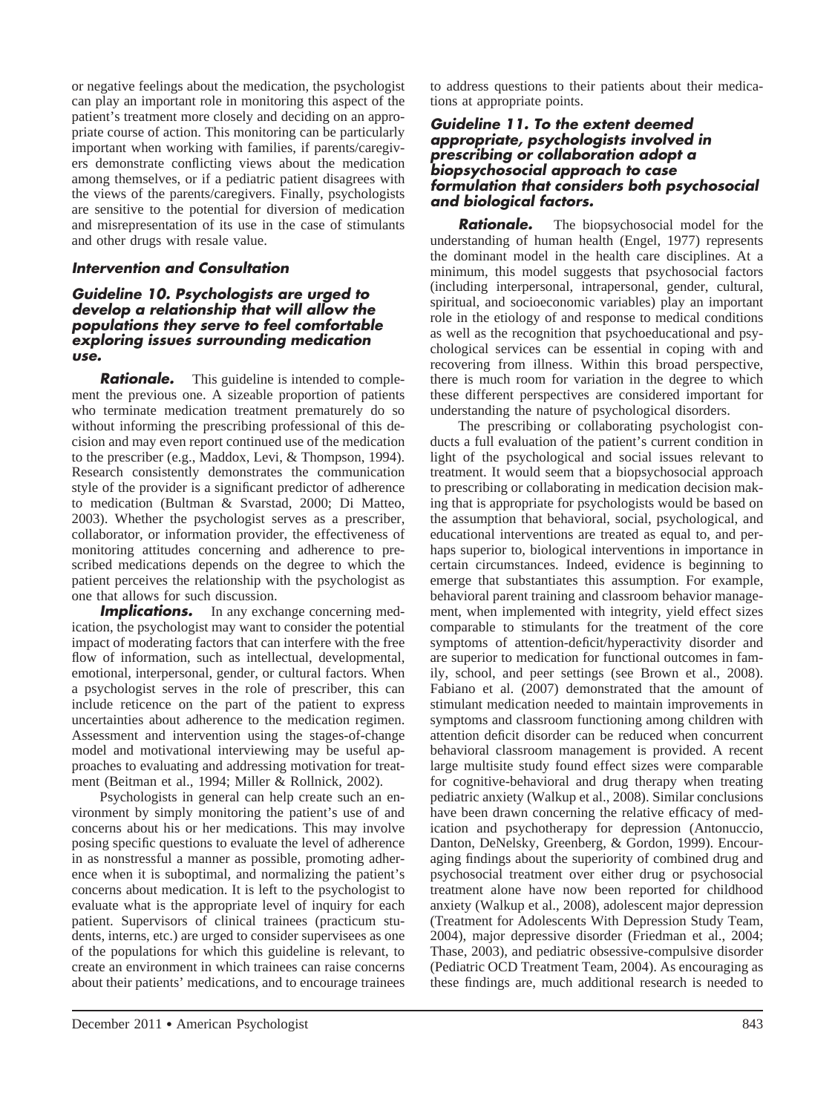or negative feelings about the medication, the psychologist can play an important role in monitoring this aspect of the patient's treatment more closely and deciding on an appropriate course of action. This monitoring can be particularly important when working with families, if parents/caregivers demonstrate conflicting views about the medication among themselves, or if a pediatric patient disagrees with the views of the parents/caregivers. Finally, psychologists are sensitive to the potential for diversion of medication and misrepresentation of its use in the case of stimulants and other drugs with resale value.

## *Intervention and Consultation*

## *Guideline 10. Psychologists are urged to develop a relationship that will allow the populations they serve to feel comfortable exploring issues surrounding medication use.*

**Rationale.** This guideline is intended to complement the previous one. A sizeable proportion of patients who terminate medication treatment prematurely do so without informing the prescribing professional of this decision and may even report continued use of the medication to the prescriber (e.g., Maddox, Levi, & Thompson, 1994). Research consistently demonstrates the communication style of the provider is a significant predictor of adherence to medication (Bultman & Svarstad, 2000; Di Matteo, 2003). Whether the psychologist serves as a prescriber, collaborator, or information provider, the effectiveness of monitoring attitudes concerning and adherence to prescribed medications depends on the degree to which the patient perceives the relationship with the psychologist as one that allows for such discussion.

**Implications.** In any exchange concerning medication, the psychologist may want to consider the potential impact of moderating factors that can interfere with the free flow of information, such as intellectual, developmental, emotional, interpersonal, gender, or cultural factors. When a psychologist serves in the role of prescriber, this can include reticence on the part of the patient to express uncertainties about adherence to the medication regimen. Assessment and intervention using the stages-of-change model and motivational interviewing may be useful approaches to evaluating and addressing motivation for treatment (Beitman et al., 1994; Miller & Rollnick, 2002).

Psychologists in general can help create such an environment by simply monitoring the patient's use of and concerns about his or her medications. This may involve posing specific questions to evaluate the level of adherence in as nonstressful a manner as possible, promoting adherence when it is suboptimal, and normalizing the patient's concerns about medication. It is left to the psychologist to evaluate what is the appropriate level of inquiry for each patient. Supervisors of clinical trainees (practicum students, interns, etc.) are urged to consider supervisees as one of the populations for which this guideline is relevant, to create an environment in which trainees can raise concerns about their patients' medications, and to encourage trainees

to address questions to their patients about their medications at appropriate points.

## *Guideline 11. To the extent deemed appropriate, psychologists involved in prescribing or collaboration adopt a biopsychosocial approach to case formulation that considers both psychosocial and biological factors.*

*Rationale.* The biopsychosocial model for the understanding of human health (Engel, 1977) represents the dominant model in the health care disciplines. At a minimum, this model suggests that psychosocial factors (including interpersonal, intrapersonal, gender, cultural, spiritual, and socioeconomic variables) play an important role in the etiology of and response to medical conditions as well as the recognition that psychoeducational and psychological services can be essential in coping with and recovering from illness. Within this broad perspective, there is much room for variation in the degree to which these different perspectives are considered important for understanding the nature of psychological disorders.

The prescribing or collaborating psychologist conducts a full evaluation of the patient's current condition in light of the psychological and social issues relevant to treatment. It would seem that a biopsychosocial approach to prescribing or collaborating in medication decision making that is appropriate for psychologists would be based on the assumption that behavioral, social, psychological, and educational interventions are treated as equal to, and perhaps superior to, biological interventions in importance in certain circumstances. Indeed, evidence is beginning to emerge that substantiates this assumption. For example, behavioral parent training and classroom behavior management, when implemented with integrity, yield effect sizes comparable to stimulants for the treatment of the core symptoms of attention-deficit/hyperactivity disorder and are superior to medication for functional outcomes in family, school, and peer settings (see Brown et al., 2008). Fabiano et al. (2007) demonstrated that the amount of stimulant medication needed to maintain improvements in symptoms and classroom functioning among children with attention deficit disorder can be reduced when concurrent behavioral classroom management is provided. A recent large multisite study found effect sizes were comparable for cognitive-behavioral and drug therapy when treating pediatric anxiety (Walkup et al., 2008). Similar conclusions have been drawn concerning the relative efficacy of medication and psychotherapy for depression (Antonuccio, Danton, DeNelsky, Greenberg, & Gordon, 1999). Encouraging findings about the superiority of combined drug and psychosocial treatment over either drug or psychosocial treatment alone have now been reported for childhood anxiety (Walkup et al., 2008), adolescent major depression (Treatment for Adolescents With Depression Study Team, 2004), major depressive disorder (Friedman et al., 2004; Thase, 2003), and pediatric obsessive-compulsive disorder (Pediatric OCD Treatment Team, 2004). As encouraging as these findings are, much additional research is needed to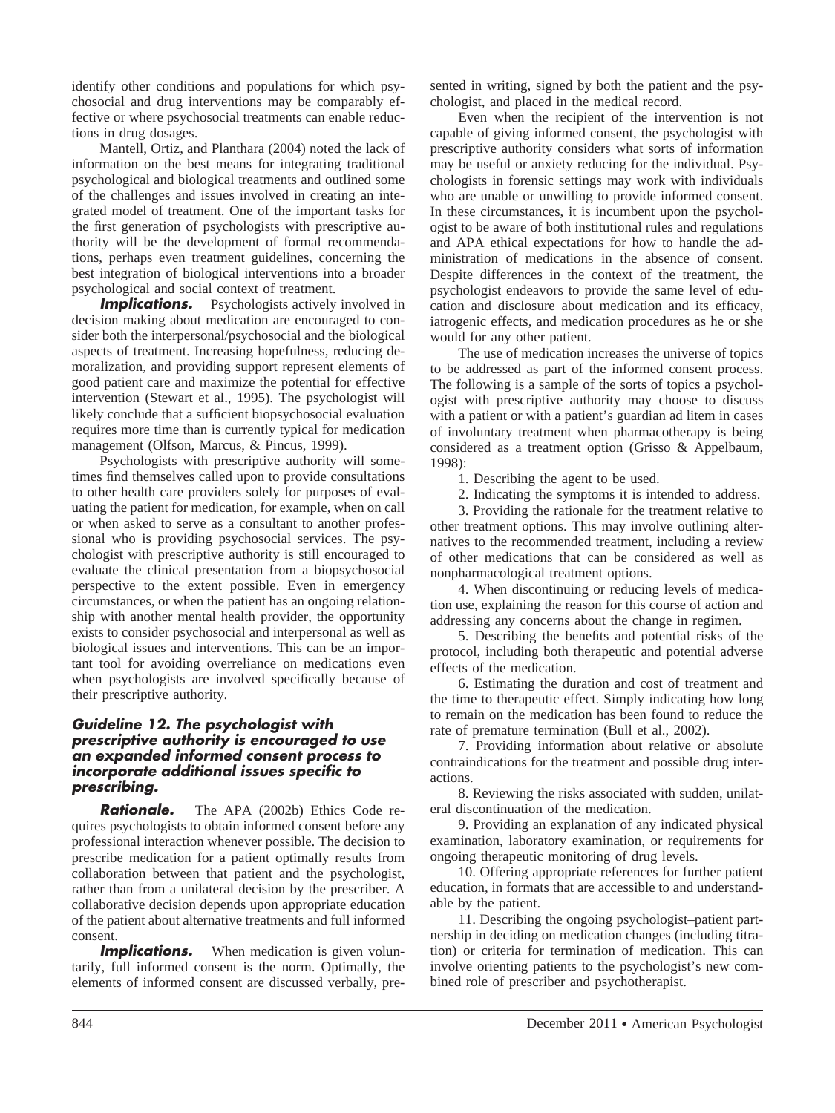identify other conditions and populations for which psychosocial and drug interventions may be comparably effective or where psychosocial treatments can enable reductions in drug dosages.

Mantell, Ortiz, and Planthara (2004) noted the lack of information on the best means for integrating traditional psychological and biological treatments and outlined some of the challenges and issues involved in creating an integrated model of treatment. One of the important tasks for the first generation of psychologists with prescriptive authority will be the development of formal recommendations, perhaps even treatment guidelines, concerning the best integration of biological interventions into a broader psychological and social context of treatment.

**Implications.** Psychologists actively involved in decision making about medication are encouraged to consider both the interpersonal/psychosocial and the biological aspects of treatment. Increasing hopefulness, reducing demoralization, and providing support represent elements of good patient care and maximize the potential for effective intervention (Stewart et al., 1995). The psychologist will likely conclude that a sufficient biopsychosocial evaluation requires more time than is currently typical for medication management (Olfson, Marcus, & Pincus, 1999).

Psychologists with prescriptive authority will sometimes find themselves called upon to provide consultations to other health care providers solely for purposes of evaluating the patient for medication, for example, when on call or when asked to serve as a consultant to another professional who is providing psychosocial services. The psychologist with prescriptive authority is still encouraged to evaluate the clinical presentation from a biopsychosocial perspective to the extent possible. Even in emergency circumstances, or when the patient has an ongoing relationship with another mental health provider, the opportunity exists to consider psychosocial and interpersonal as well as biological issues and interventions. This can be an important tool for avoiding overreliance on medications even when psychologists are involved specifically because of their prescriptive authority.

## *Guideline 12. The psychologist with prescriptive authority is encouraged to use an expanded informed consent process to incorporate additional issues specific to prescribing.*

*Rationale.* The APA (2002b) Ethics Code requires psychologists to obtain informed consent before any professional interaction whenever possible. The decision to prescribe medication for a patient optimally results from collaboration between that patient and the psychologist, rather than from a unilateral decision by the prescriber. A collaborative decision depends upon appropriate education of the patient about alternative treatments and full informed consent.

**Implications.** When medication is given voluntarily, full informed consent is the norm. Optimally, the elements of informed consent are discussed verbally, pre-

sented in writing, signed by both the patient and the psychologist, and placed in the medical record.

Even when the recipient of the intervention is not capable of giving informed consent, the psychologist with prescriptive authority considers what sorts of information may be useful or anxiety reducing for the individual. Psychologists in forensic settings may work with individuals who are unable or unwilling to provide informed consent. In these circumstances, it is incumbent upon the psychologist to be aware of both institutional rules and regulations and APA ethical expectations for how to handle the administration of medications in the absence of consent. Despite differences in the context of the treatment, the psychologist endeavors to provide the same level of education and disclosure about medication and its efficacy, iatrogenic effects, and medication procedures as he or she would for any other patient.

The use of medication increases the universe of topics to be addressed as part of the informed consent process. The following is a sample of the sorts of topics a psychologist with prescriptive authority may choose to discuss with a patient or with a patient's guardian ad litem in cases of involuntary treatment when pharmacotherapy is being considered as a treatment option (Grisso & Appelbaum, 1998):

1. Describing the agent to be used.

2. Indicating the symptoms it is intended to address.

3. Providing the rationale for the treatment relative to other treatment options. This may involve outlining alternatives to the recommended treatment, including a review of other medications that can be considered as well as nonpharmacological treatment options.

4. When discontinuing or reducing levels of medication use, explaining the reason for this course of action and addressing any concerns about the change in regimen.

5. Describing the benefits and potential risks of the protocol, including both therapeutic and potential adverse effects of the medication.

6. Estimating the duration and cost of treatment and the time to therapeutic effect. Simply indicating how long to remain on the medication has been found to reduce the rate of premature termination (Bull et al., 2002).

7. Providing information about relative or absolute contraindications for the treatment and possible drug interactions.

8. Reviewing the risks associated with sudden, unilateral discontinuation of the medication.

9. Providing an explanation of any indicated physical examination, laboratory examination, or requirements for ongoing therapeutic monitoring of drug levels.

10. Offering appropriate references for further patient education, in formats that are accessible to and understandable by the patient.

11. Describing the ongoing psychologist–patient partnership in deciding on medication changes (including titration) or criteria for termination of medication. This can involve orienting patients to the psychologist's new combined role of prescriber and psychotherapist.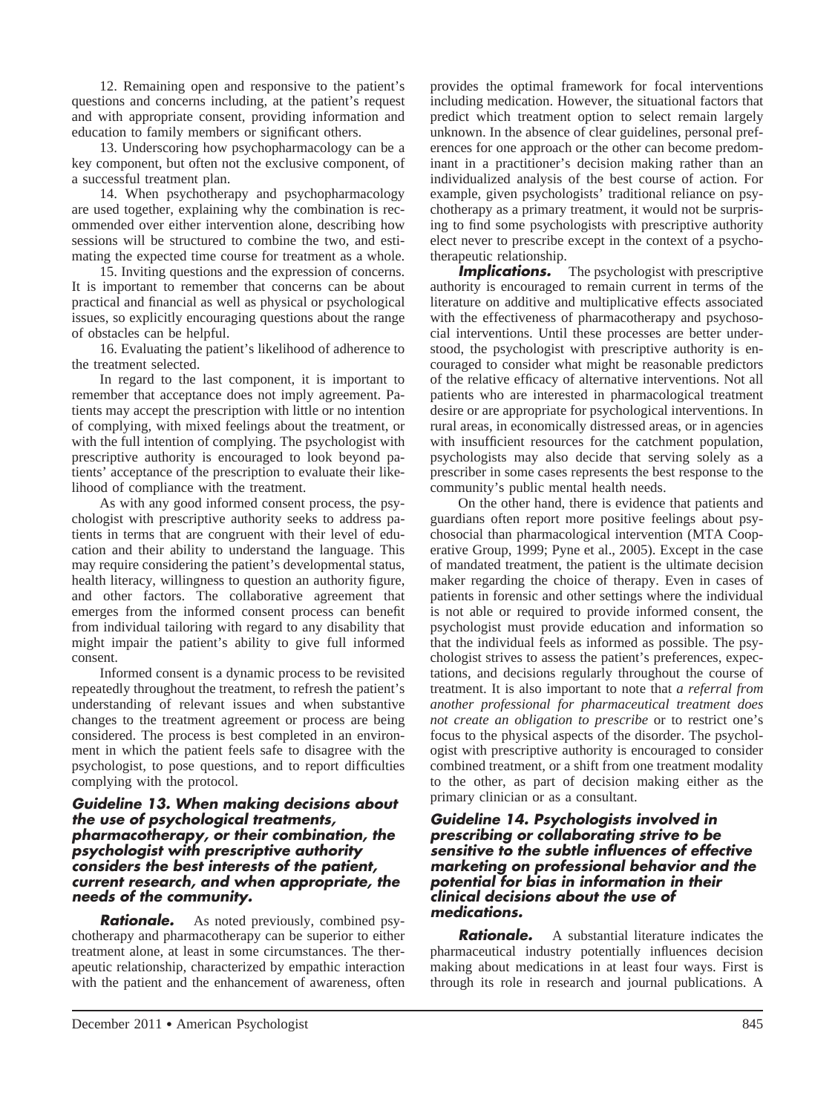12. Remaining open and responsive to the patient's questions and concerns including, at the patient's request and with appropriate consent, providing information and education to family members or significant others.

13. Underscoring how psychopharmacology can be a key component, but often not the exclusive component, of a successful treatment plan.

14. When psychotherapy and psychopharmacology are used together, explaining why the combination is recommended over either intervention alone, describing how sessions will be structured to combine the two, and estimating the expected time course for treatment as a whole.

15. Inviting questions and the expression of concerns. It is important to remember that concerns can be about practical and financial as well as physical or psychological issues, so explicitly encouraging questions about the range of obstacles can be helpful.

16. Evaluating the patient's likelihood of adherence to the treatment selected.

In regard to the last component, it is important to remember that acceptance does not imply agreement. Patients may accept the prescription with little or no intention of complying, with mixed feelings about the treatment, or with the full intention of complying. The psychologist with prescriptive authority is encouraged to look beyond patients' acceptance of the prescription to evaluate their likelihood of compliance with the treatment.

As with any good informed consent process, the psychologist with prescriptive authority seeks to address patients in terms that are congruent with their level of education and their ability to understand the language. This may require considering the patient's developmental status, health literacy, willingness to question an authority figure, and other factors. The collaborative agreement that emerges from the informed consent process can benefit from individual tailoring with regard to any disability that might impair the patient's ability to give full informed consent.

Informed consent is a dynamic process to be revisited repeatedly throughout the treatment, to refresh the patient's understanding of relevant issues and when substantive changes to the treatment agreement or process are being considered. The process is best completed in an environment in which the patient feels safe to disagree with the psychologist, to pose questions, and to report difficulties complying with the protocol.

## *Guideline 13. When making decisions about the use of psychological treatments, pharmacotherapy, or their combination, the psychologist with prescriptive authority considers the best interests of the patient, current research, and when appropriate, the needs of the community.*

*Rationale.* As noted previously, combined psychotherapy and pharmacotherapy can be superior to either treatment alone, at least in some circumstances. The therapeutic relationship, characterized by empathic interaction with the patient and the enhancement of awareness, often

provides the optimal framework for focal interventions including medication. However, the situational factors that predict which treatment option to select remain largely unknown. In the absence of clear guidelines, personal preferences for one approach or the other can become predominant in a practitioner's decision making rather than an individualized analysis of the best course of action. For example, given psychologists' traditional reliance on psychotherapy as a primary treatment, it would not be surprising to find some psychologists with prescriptive authority elect never to prescribe except in the context of a psychotherapeutic relationship.

**Implications.** The psychologist with prescriptive authority is encouraged to remain current in terms of the literature on additive and multiplicative effects associated with the effectiveness of pharmacotherapy and psychosocial interventions. Until these processes are better understood, the psychologist with prescriptive authority is encouraged to consider what might be reasonable predictors of the relative efficacy of alternative interventions. Not all patients who are interested in pharmacological treatment desire or are appropriate for psychological interventions. In rural areas, in economically distressed areas, or in agencies with insufficient resources for the catchment population, psychologists may also decide that serving solely as a prescriber in some cases represents the best response to the community's public mental health needs.

On the other hand, there is evidence that patients and guardians often report more positive feelings about psychosocial than pharmacological intervention (MTA Cooperative Group, 1999; Pyne et al., 2005). Except in the case of mandated treatment, the patient is the ultimate decision maker regarding the choice of therapy. Even in cases of patients in forensic and other settings where the individual is not able or required to provide informed consent, the psychologist must provide education and information so that the individual feels as informed as possible. The psychologist strives to assess the patient's preferences, expectations, and decisions regularly throughout the course of treatment. It is also important to note that *a referral from another professional for pharmaceutical treatment does not create an obligation to prescribe* or to restrict one's focus to the physical aspects of the disorder. The psychologist with prescriptive authority is encouraged to consider combined treatment, or a shift from one treatment modality to the other, as part of decision making either as the primary clinician or as a consultant.

#### *Guideline 14. Psychologists involved in prescribing or collaborating strive to be sensitive to the subtle influences of effective marketing on professional behavior and the potential for bias in information in their clinical decisions about the use of medications.*

**Rationale.** A substantial literature indicates the pharmaceutical industry potentially influences decision making about medications in at least four ways. First is through its role in research and journal publications. A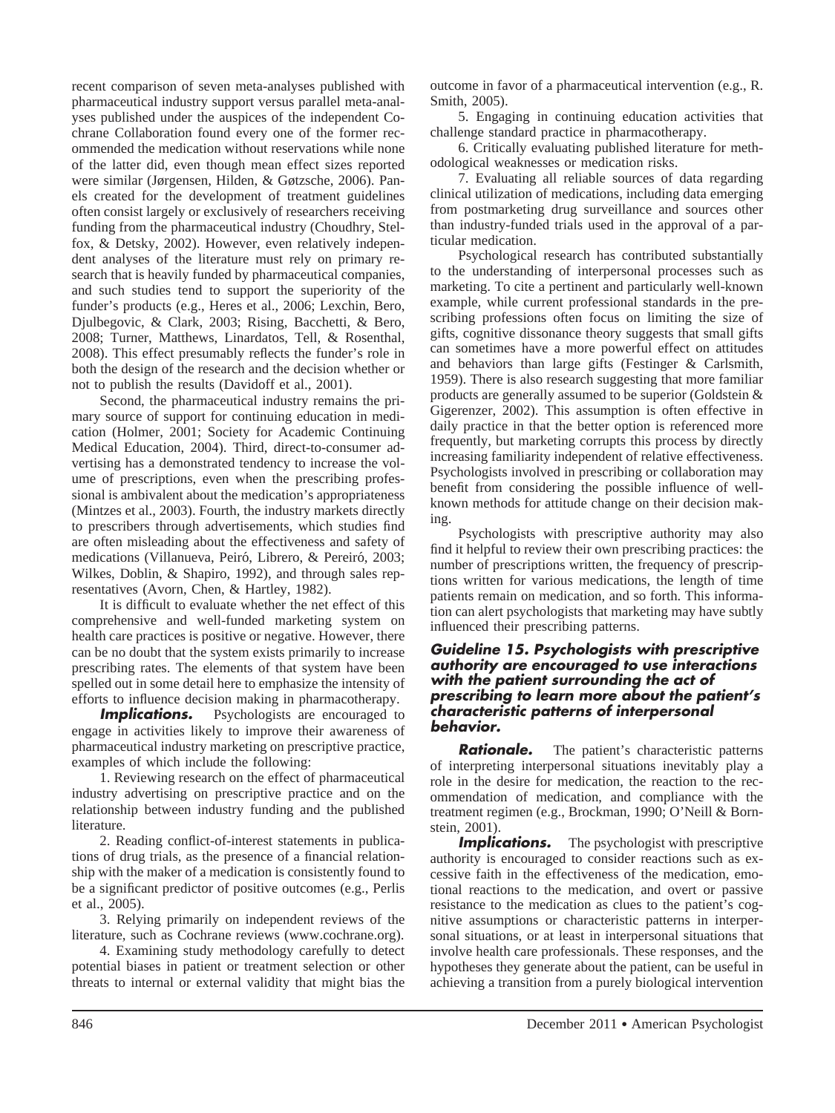recent comparison of seven meta-analyses published with pharmaceutical industry support versus parallel meta-analyses published under the auspices of the independent Cochrane Collaboration found every one of the former recommended the medication without reservations while none of the latter did, even though mean effect sizes reported were similar (Jørgensen, Hilden, & Gøtzsche, 2006). Panels created for the development of treatment guidelines often consist largely or exclusively of researchers receiving funding from the pharmaceutical industry (Choudhry, Stelfox, & Detsky, 2002). However, even relatively independent analyses of the literature must rely on primary research that is heavily funded by pharmaceutical companies, and such studies tend to support the superiority of the funder's products (e.g., Heres et al., 2006; Lexchin, Bero, Djulbegovic, & Clark, 2003; Rising, Bacchetti, & Bero, 2008; Turner, Matthews, Linardatos, Tell, & Rosenthal, 2008). This effect presumably reflects the funder's role in both the design of the research and the decision whether or not to publish the results (Davidoff et al., 2001).

Second, the pharmaceutical industry remains the primary source of support for continuing education in medication (Holmer, 2001; Society for Academic Continuing Medical Education, 2004). Third, direct-to-consumer advertising has a demonstrated tendency to increase the volume of prescriptions, even when the prescribing professional is ambivalent about the medication's appropriateness (Mintzes et al., 2003). Fourth, the industry markets directly to prescribers through advertisements, which studies find are often misleading about the effectiveness and safety of medications (Villanueva, Peiró, Librero, & Pereiró, 2003; Wilkes, Doblin, & Shapiro, 1992), and through sales representatives (Avorn, Chen, & Hartley, 1982).

It is difficult to evaluate whether the net effect of this comprehensive and well-funded marketing system on health care practices is positive or negative. However, there can be no doubt that the system exists primarily to increase prescribing rates. The elements of that system have been spelled out in some detail here to emphasize the intensity of efforts to influence decision making in pharmacotherapy.

**Implications.** Psychologists are encouraged to engage in activities likely to improve their awareness of pharmaceutical industry marketing on prescriptive practice, examples of which include the following:

1. Reviewing research on the effect of pharmaceutical industry advertising on prescriptive practice and on the relationship between industry funding and the published literature.

2. Reading conflict-of-interest statements in publications of drug trials, as the presence of a financial relationship with the maker of a medication is consistently found to be a significant predictor of positive outcomes (e.g., Perlis et al., 2005).

3. Relying primarily on independent reviews of the literature, such as Cochrane reviews (www.cochrane.org).

4. Examining study methodology carefully to detect potential biases in patient or treatment selection or other threats to internal or external validity that might bias the

outcome in favor of a pharmaceutical intervention (e.g., R. Smith, 2005).

5. Engaging in continuing education activities that challenge standard practice in pharmacotherapy.

6. Critically evaluating published literature for methodological weaknesses or medication risks.

7. Evaluating all reliable sources of data regarding clinical utilization of medications, including data emerging from postmarketing drug surveillance and sources other than industry-funded trials used in the approval of a particular medication.

Psychological research has contributed substantially to the understanding of interpersonal processes such as marketing. To cite a pertinent and particularly well-known example, while current professional standards in the prescribing professions often focus on limiting the size of gifts, cognitive dissonance theory suggests that small gifts can sometimes have a more powerful effect on attitudes and behaviors than large gifts (Festinger & Carlsmith, 1959). There is also research suggesting that more familiar products are generally assumed to be superior (Goldstein & Gigerenzer, 2002). This assumption is often effective in daily practice in that the better option is referenced more frequently, but marketing corrupts this process by directly increasing familiarity independent of relative effectiveness. Psychologists involved in prescribing or collaboration may benefit from considering the possible influence of wellknown methods for attitude change on their decision making.

Psychologists with prescriptive authority may also find it helpful to review their own prescribing practices: the number of prescriptions written, the frequency of prescriptions written for various medications, the length of time patients remain on medication, and so forth. This information can alert psychologists that marketing may have subtly influenced their prescribing patterns.

#### *Guideline 15. Psychologists with prescriptive authority are encouraged to use interactions with the patient surrounding the act of prescribing to learn more about the patient's characteristic patterns of interpersonal behavior.*

**Rationale.** The patient's characteristic patterns of interpreting interpersonal situations inevitably play a role in the desire for medication, the reaction to the recommendation of medication, and compliance with the treatment regimen (e.g., Brockman, 1990; O'Neill & Bornstein, 2001).

**Implications.** The psychologist with prescriptive authority is encouraged to consider reactions such as excessive faith in the effectiveness of the medication, emotional reactions to the medication, and overt or passive resistance to the medication as clues to the patient's cognitive assumptions or characteristic patterns in interpersonal situations, or at least in interpersonal situations that involve health care professionals. These responses, and the hypotheses they generate about the patient, can be useful in achieving a transition from a purely biological intervention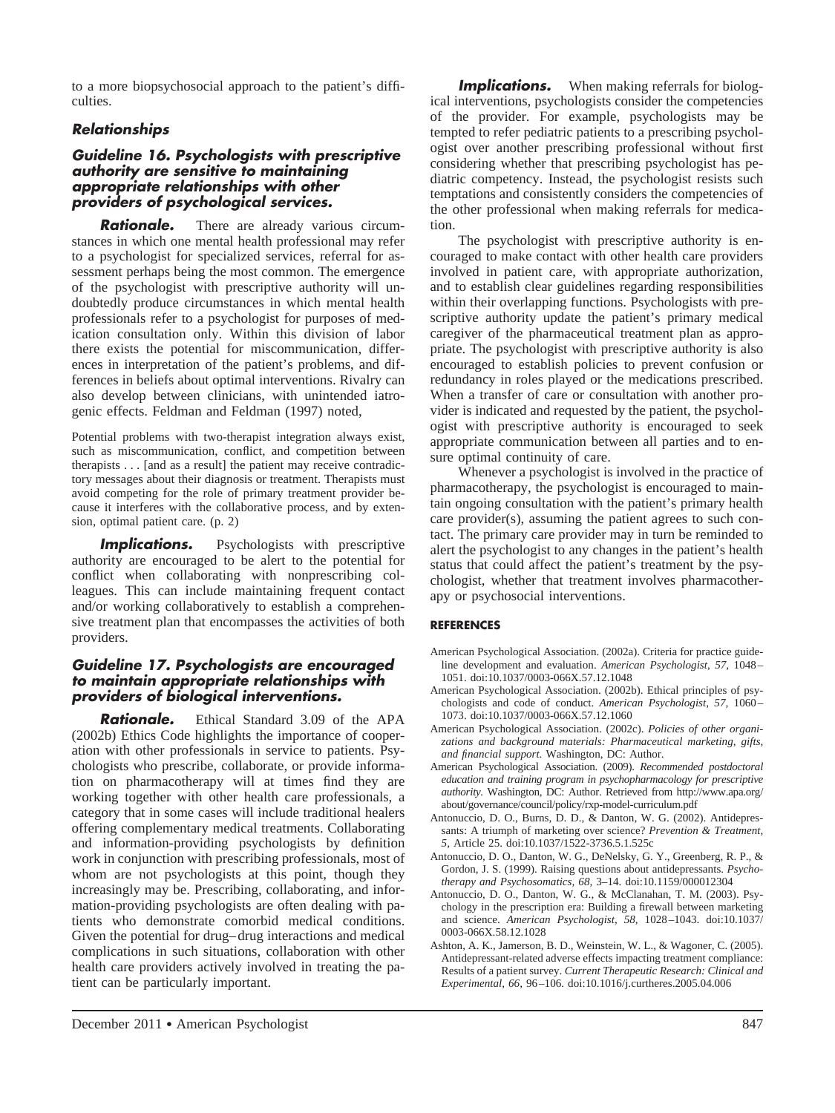to a more biopsychosocial approach to the patient's difficulties.

## *Relationships*

## *Guideline 16. Psychologists with prescriptive authority are sensitive to maintaining appropriate relationships with other providers of psychological services.*

**Rationale.** There are already various circumstances in which one mental health professional may refer to a psychologist for specialized services, referral for assessment perhaps being the most common. The emergence of the psychologist with prescriptive authority will undoubtedly produce circumstances in which mental health professionals refer to a psychologist for purposes of medication consultation only. Within this division of labor there exists the potential for miscommunication, differences in interpretation of the patient's problems, and differences in beliefs about optimal interventions. Rivalry can also develop between clinicians, with unintended iatrogenic effects. Feldman and Feldman (1997) noted,

Potential problems with two-therapist integration always exist, such as miscommunication, conflict, and competition between therapists . . . [and as a result] the patient may receive contradictory messages about their diagnosis or treatment. Therapists must avoid competing for the role of primary treatment provider because it interferes with the collaborative process, and by extension, optimal patient care. (p. 2)

**Implications.** Psychologists with prescriptive authority are encouraged to be alert to the potential for conflict when collaborating with nonprescribing colleagues. This can include maintaining frequent contact and/or working collaboratively to establish a comprehensive treatment plan that encompasses the activities of both providers.

## *Guideline 17. Psychologists are encouraged to maintain appropriate relationships with providers of biological interventions.*

*Rationale.* Ethical Standard 3.09 of the APA (2002b) Ethics Code highlights the importance of cooperation with other professionals in service to patients. Psychologists who prescribe, collaborate, or provide information on pharmacotherapy will at times find they are working together with other health care professionals, a category that in some cases will include traditional healers offering complementary medical treatments. Collaborating and information-providing psychologists by definition work in conjunction with prescribing professionals, most of whom are not psychologists at this point, though they increasingly may be. Prescribing, collaborating, and information-providing psychologists are often dealing with patients who demonstrate comorbid medical conditions. Given the potential for drug–drug interactions and medical complications in such situations, collaboration with other health care providers actively involved in treating the patient can be particularly important.

**Implications.** When making referrals for biological interventions, psychologists consider the competencies of the provider. For example, psychologists may be tempted to refer pediatric patients to a prescribing psychologist over another prescribing professional without first considering whether that prescribing psychologist has pediatric competency. Instead, the psychologist resists such temptations and consistently considers the competencies of the other professional when making referrals for medication.

The psychologist with prescriptive authority is encouraged to make contact with other health care providers involved in patient care, with appropriate authorization, and to establish clear guidelines regarding responsibilities within their overlapping functions. Psychologists with prescriptive authority update the patient's primary medical caregiver of the pharmaceutical treatment plan as appropriate. The psychologist with prescriptive authority is also encouraged to establish policies to prevent confusion or redundancy in roles played or the medications prescribed. When a transfer of care or consultation with another provider is indicated and requested by the patient, the psychologist with prescriptive authority is encouraged to seek appropriate communication between all parties and to ensure optimal continuity of care.

Whenever a psychologist is involved in the practice of pharmacotherapy, the psychologist is encouraged to maintain ongoing consultation with the patient's primary health care provider(s), assuming the patient agrees to such contact. The primary care provider may in turn be reminded to alert the psychologist to any changes in the patient's health status that could affect the patient's treatment by the psychologist, whether that treatment involves pharmacotherapy or psychosocial interventions.

## **REFERENCES**

- American Psychological Association. (2002a). Criteria for practice guideline development and evaluation. *American Psychologist, 57,* 1048– 1051. doi:10.1037/0003-066X.57.12.1048
- American Psychological Association. (2002b). Ethical principles of psychologists and code of conduct. *American Psychologist, 57,* 1060– 1073. doi:10.1037/0003-066X.57.12.1060
- American Psychological Association. (2002c). *Policies of other organizations and background materials: Pharmaceutical marketing, gifts, and financial support.* Washington, DC: Author.
- American Psychological Association. (2009). *Recommended postdoctoral education and training program in psychopharmacology for prescriptive authority.* Washington, DC: Author. Retrieved from http://www.apa.org/ about/governance/council/policy/rxp-model-curriculum.pdf
- Antonuccio, D. O., Burns, D. D., & Danton, W. G. (2002). Antidepressants: A triumph of marketing over science? *Prevention & Treatment, 5,* Article 25. doi:10.1037/1522-3736.5.1.525c
- Antonuccio, D. O., Danton, W. G., DeNelsky, G. Y., Greenberg, R. P., & Gordon, J. S. (1999). Raising questions about antidepressants. *Psychotherapy and Psychosomatics, 68,* 3–14. doi:10.1159/000012304
- Antonuccio, D. O., Danton, W. G., & McClanahan, T. M. (2003). Psychology in the prescription era: Building a firewall between marketing and science. *American Psychologist, 58,* 1028–1043. doi:10.1037/ 0003-066X.58.12.1028
- Ashton, A. K., Jamerson, B. D., Weinstein, W. L., & Wagoner, C. (2005). Antidepressant-related adverse effects impacting treatment compliance: Results of a patient survey. *Current Therapeutic Research: Clinical and Experimental, 66,* 96–106. doi:10.1016/j.curtheres.2005.04.006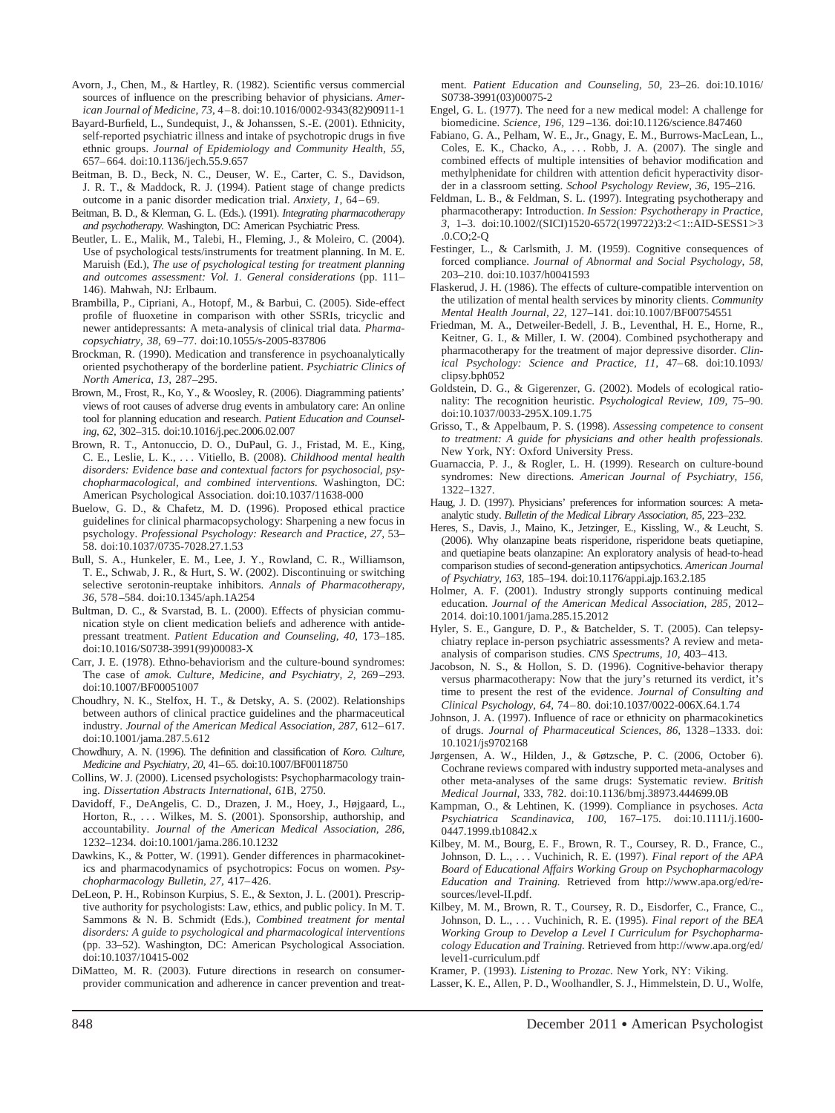Avorn, J., Chen, M., & Hartley, R. (1982). Scientific versus commercial sources of influence on the prescribing behavior of physicians. *American Journal of Medicine, 73,* 4–8. doi:10.1016/0002-9343(82)90911-1

- Bayard-Burfield, L., Sundequist, J., & Johanssen, S.-E. (2001). Ethnicity, self-reported psychiatric illness and intake of psychotropic drugs in five ethnic groups. *Journal of Epidemiology and Community Health, 55,* 657–664. doi:10.1136/jech.55.9.657
- Beitman, B. D., Beck, N. C., Deuser, W. E., Carter, C. S., Davidson, J. R. T., & Maddock, R. J. (1994). Patient stage of change predicts outcome in a panic disorder medication trial. *Anxiety, 1,* 64–69.
- Beitman, B. D., & Klerman, G. L. (Eds.). (1991). *Integrating pharmacotherapy and psychotherapy.* Washington, DC: American Psychiatric Press.
- Beutler, L. E., Malik, M., Talebi, H., Fleming, J., & Moleiro, C. (2004). Use of psychological tests/instruments for treatment planning. In M. E. Maruish (Ed.), *The use of psychological testing for treatment planning and outcomes assessment: Vol. 1. General considerations* (pp. 111– 146). Mahwah, NJ: Erlbaum.
- Brambilla, P., Cipriani, A., Hotopf, M., & Barbui, C. (2005). Side-effect profile of fluoxetine in comparison with other SSRIs, tricyclic and newer antidepressants: A meta-analysis of clinical trial data. *Pharmacopsychiatry, 38,* 69–77. doi:10.1055/s-2005-837806
- Brockman, R. (1990). Medication and transference in psychoanalytically oriented psychotherapy of the borderline patient. *Psychiatric Clinics of North America, 13,* 287–295.
- Brown, M., Frost, R., Ko, Y., & Woosley, R. (2006). Diagramming patients' views of root causes of adverse drug events in ambulatory care: An online tool for planning education and research. *Patient Education and Counseling, 62,* 302–315. doi:10.1016/j.pec.2006.02.007
- Brown, R. T., Antonuccio, D. O., DuPaul, G. J., Fristad, M. E., King, C. E., Leslie, L. K., . . . Vitiello, B. (2008). *Childhood mental health disorders: Evidence base and contextual factors for psychosocial, psychopharmacological, and combined interventions.* Washington, DC: American Psychological Association. doi:10.1037/11638-000
- Buelow, G. D., & Chafetz, M. D. (1996). Proposed ethical practice guidelines for clinical pharmacopsychology: Sharpening a new focus in psychology. *Professional Psychology: Research and Practice, 27,* 53– 58. doi:10.1037/0735-7028.27.1.53
- Bull, S. A., Hunkeler, E. M., Lee, J. Y., Rowland, C. R., Williamson, T. E., Schwab, J. R., & Hurt, S. W. (2002). Discontinuing or switching selective serotonin-reuptake inhibitors. *Annals of Pharmacotherapy, 36,* 578–584. doi:10.1345/aph.1A254
- Bultman, D. C., & Svarstad, B. L. (2000). Effects of physician communication style on client medication beliefs and adherence with antidepressant treatment. *Patient Education and Counseling, 40,* 173–185. doi:10.1016/S0738-3991(99)00083-X
- Carr, J. E. (1978). Ethno-behaviorism and the culture-bound syndromes: The case of *amok. Culture, Medicine, and Psychiatry, 2,* 269–293. doi:10.1007/BF00051007
- Choudhry, N. K., Stelfox, H. T., & Detsky, A. S. (2002). Relationships between authors of clinical practice guidelines and the pharmaceutical industry. *Journal of the American Medical Association, 287,* 612–617. doi:10.1001/jama.287.5.612
- Chowdhury, A. N. (1996). The definition and classification of *Koro. Culture, Medicine and Psychiatry, 20,* 41–65. doi:10.1007/BF00118750
- Collins, W. J. (2000). Licensed psychologists: Psychopharmacology training. *Dissertation Abstracts International, 61*B, 2750.
- Davidoff, F., DeAngelis, C. D., Drazen, J. M., Hoey, J., Højgaard, L., Horton, R., . . . Wilkes, M. S. (2001). Sponsorship, authorship, and accountability. *Journal of the American Medical Association, 286,* 1232–1234. doi:10.1001/jama.286.10.1232
- Dawkins, K., & Potter, W. (1991). Gender differences in pharmacokinetics and pharmacodynamics of psychotropics: Focus on women. *Psychopharmacology Bulletin, 27,* 417–426.
- DeLeon, P. H., Robinson Kurpius, S. E., & Sexton, J. L. (2001). Prescriptive authority for psychologists: Law, ethics, and public policy. In M. T. Sammons & N. B. Schmidt (Eds.), *Combined treatment for mental disorders: A guide to psychological and pharmacological interventions* (pp. 33–52). Washington, DC: American Psychological Association. doi:10.1037/10415-002
- DiMatteo, M. R. (2003). Future directions in research on consumerprovider communication and adherence in cancer prevention and treat-

ment. *Patient Education and Counseling, 50,* 23–26. doi:10.1016/ S0738-3991(03)00075-2

- Engel, G. L. (1977). The need for a new medical model: A challenge for biomedicine. *Science, 196,* 129–136. doi:10.1126/science.847460
- Fabiano, G. A., Pelham, W. E., Jr., Gnagy, E. M., Burrows-MacLean, L., Coles, E. K., Chacko, A., . . . Robb, J. A. (2007). The single and combined effects of multiple intensities of behavior modification and methylphenidate for children with attention deficit hyperactivity disorder in a classroom setting. *School Psychology Review, 36,* 195–216.
- Feldman, L. B., & Feldman, S. L. (1997). Integrating psychotherapy and pharmacotherapy: Introduction. *In Session: Psychotherapy in Practice,* 3, 1-3. doi:10.1002/(SICI)1520-6572(199722)3:2<1::AID-SESS1>3 .0.CO;2-Q
- Festinger, L., & Carlsmith, J. M. (1959). Cognitive consequences of forced compliance. *Journal of Abnormal and Social Psychology, 58,* 203–210. doi:10.1037/h0041593
- Flaskerud, J. H. (1986). The effects of culture-compatible intervention on the utilization of mental health services by minority clients. *Community Mental Health Journal, 22,* 127–141. doi:10.1007/BF00754551
- Friedman, M. A., Detweiler-Bedell, J. B., Leventhal, H. E., Horne, R., Keitner, G. I., & Miller, I. W. (2004). Combined psychotherapy and pharmacotherapy for the treatment of major depressive disorder. *Clinical Psychology: Science and Practice, 11,* 47–68. doi:10.1093/ clipsy.bph052
- Goldstein, D. G., & Gigerenzer, G. (2002). Models of ecological rationality: The recognition heuristic. *Psychological Review, 109,* 75–90. doi:10.1037/0033-295X.109.1.75
- Grisso, T., & Appelbaum, P. S. (1998). *Assessing competence to consent to treatment: A guide for physicians and other health professionals.* New York, NY: Oxford University Press.
- Guarnaccia, P. J., & Rogler, L. H. (1999). Research on culture-bound syndromes: New directions. *American Journal of Psychiatry, 156,* 1322–1327.
- Haug, J. D. (1997). Physicians' preferences for information sources: A metaanalytic study. *Bulletin of the Medical Library Association, 85,* 223–232.
- Heres, S., Davis, J., Maino, K., Jetzinger, E., Kissling, W., & Leucht, S. (2006). Why olanzapine beats risperidone, risperidone beats quetiapine, and quetiapine beats olanzapine: An exploratory analysis of head-to-head comparison studies of second-generation antipsychotics. *American Journal of Psychiatry, 163,* 185–194. doi:10.1176/appi.ajp.163.2.185
- Holmer, A. F. (2001). Industry strongly supports continuing medical education. *Journal of the American Medical Association, 285,* 2012– 2014. doi:10.1001/jama.285.15.2012
- Hyler, S. E., Gangure, D. P., & Batchelder, S. T. (2005). Can telepsychiatry replace in-person psychiatric assessments? A review and metaanalysis of comparison studies. *CNS Spectrums, 10,* 403–413.
- Jacobson, N. S., & Hollon, S. D. (1996). Cognitive-behavior therapy versus pharmacotherapy: Now that the jury's returned its verdict, it's time to present the rest of the evidence. *Journal of Consulting and Clinical Psychology, 64,* 74–80. doi:10.1037/0022-006X.64.1.74
- Johnson, J. A. (1997). Influence of race or ethnicity on pharmacokinetics of drugs. *Journal of Pharmaceutical Sciences, 86,* 1328–1333. doi: 10.1021/js9702168
- Jørgensen, A. W., Hilden, J., & Gøtzsche, P. C. (2006, October 6). Cochrane reviews compared with industry supported meta-analyses and other meta-analyses of the same drugs: Systematic review. *British Medical Journal,* 333, 782. doi:10.1136/bmj.38973.444699.0B
- Kampman, O., & Lehtinen, K. (1999). Compliance in psychoses. *Acta Psychiatrica Scandinavica, 100,* 167–175. doi:10.1111/j.1600- 0447.1999.tb10842.x
- Kilbey, M. M., Bourg, E. F., Brown, R. T., Coursey, R. D., France, C., Johnson, D. L., . . . Vuchinich, R. E. (1997). *Final report of the APA Board of Educational Affairs Working Group on Psychopharmacology Education and Training.* Retrieved from http://www.apa.org/ed/resources/level-II.pdf.
- Kilbey, M. M., Brown, R. T., Coursey, R. D., Eisdorfer, C., France, C., Johnson, D. L., . . . Vuchinich, R. E. (1995). *Final report of the BEA Working Group to Develop a Level I Curriculum for Psychopharmacology Education and Training.* Retrieved from http://www.apa.org/ed/ level1-curriculum.pdf

Kramer, P. (1993). *Listening to Prozac.* New York, NY: Viking.

Lasser, K. E., Allen, P. D., Woolhandler, S. J., Himmelstein, D. U., Wolfe,